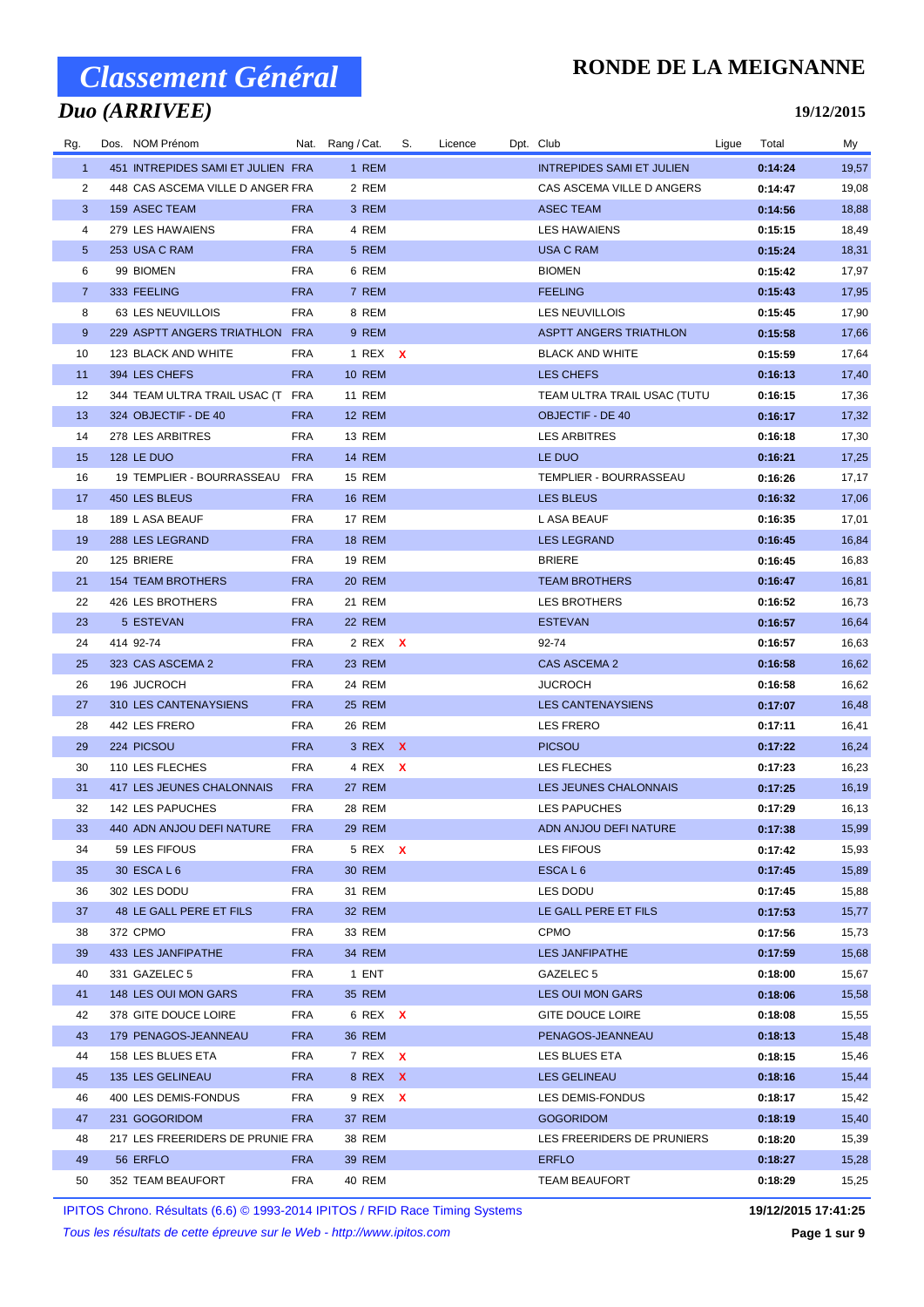## *Duo (ARRIVEE)*

### **RONDE DE LA MEIGNANNE**

**19/12/2015**

| Rg.            | Dos. NOM Prénom                   |            | Nat. Rang / Cat. | S. | Licence | Dpt. Club                        | Ligue | Total   | My    |
|----------------|-----------------------------------|------------|------------------|----|---------|----------------------------------|-------|---------|-------|
| $\mathbf{1}$   | 451 INTREPIDES SAMI ET JULIEN FRA |            | 1 REM            |    |         | <b>INTREPIDES SAMI ET JULIEN</b> |       | 0:14:24 | 19,57 |
| 2              | 448 CAS ASCEMA VILLE D ANGER FRA  |            | 2 REM            |    |         | CAS ASCEMA VILLE D ANGERS        |       | 0:14:47 | 19,08 |
| 3              | 159 ASEC TEAM                     | <b>FRA</b> | 3 REM            |    |         | ASEC TEAM                        |       | 0:14:56 | 18,88 |
| 4              | 279 LES HAWAIENS                  | <b>FRA</b> | 4 REM            |    |         | <b>LES HAWAIENS</b>              |       | 0:15:15 | 18,49 |
| 5              | 253 USA C RAM                     | <b>FRA</b> | 5 REM            |    |         | <b>USA C RAM</b>                 |       | 0:15:24 | 18,31 |
| 6              | 99 BIOMEN                         | <b>FRA</b> | 6 REM            |    |         | <b>BIOMEN</b>                    |       | 0:15:42 | 17,97 |
| $\overline{7}$ | 333 FEELING                       | <b>FRA</b> | 7 REM            |    |         | <b>FEELING</b>                   |       | 0:15:43 | 17,95 |
| 8              | 63 LES NEUVILLOIS                 | <b>FRA</b> | 8 REM            |    |         | <b>LES NEUVILLOIS</b>            |       | 0:15:45 | 17,90 |
| 9              | 229 ASPTT ANGERS TRIATHLON FRA    |            | 9 REM            |    |         | <b>ASPTT ANGERS TRIATHLON</b>    |       | 0:15:58 | 17,66 |
| 10             | 123 BLACK AND WHITE               | <b>FRA</b> | 1 REX X          |    |         | <b>BLACK AND WHITE</b>           |       | 0:15:59 | 17,64 |
| 11             | 394 LES CHEFS                     | <b>FRA</b> | <b>10 REM</b>    |    |         | LES CHEFS                        |       | 0:16:13 | 17,40 |
| 12             | 344 TEAM ULTRA TRAIL USAC (T FRA  |            | <b>11 REM</b>    |    |         | TEAM ULTRA TRAIL USAC (TUTU      |       | 0:16:15 | 17,36 |
| 13             | 324 OBJECTIF - DE 40              | <b>FRA</b> | <b>12 REM</b>    |    |         | <b>OBJECTIF - DE 40</b>          |       | 0:16:17 | 17,32 |
| 14             | 278 LES ARBITRES                  | <b>FRA</b> | 13 REM           |    |         | <b>LES ARBITRES</b>              |       | 0:16:18 | 17,30 |
| 15             | <b>128 LE DUO</b>                 | <b>FRA</b> | <b>14 REM</b>    |    |         | LE DUO                           |       | 0:16:21 | 17,25 |
| 16             | 19 TEMPLIER - BOURRASSEAU         | FRA        | <b>15 REM</b>    |    |         | TEMPLIER - BOURRASSEAU           |       | 0:16:26 | 17,17 |
| 17             | 450 LES BLEUS                     | <b>FRA</b> | <b>16 REM</b>    |    |         | LES BLEUS                        |       | 0:16:32 | 17,06 |
| 18             | 189 L ASA BEAUF                   | <b>FRA</b> | 17 REM           |    |         | L ASA BEAUF                      |       | 0:16:35 | 17,01 |
| 19             | 288 LES LEGRAND                   | <b>FRA</b> | <b>18 REM</b>    |    |         | <b>LES LEGRAND</b>               |       | 0:16:45 | 16,84 |
| 20             | 125 BRIERE                        | <b>FRA</b> | 19 REM           |    |         | <b>BRIERE</b>                    |       | 0:16:45 | 16,83 |
| 21             | <b>154 TEAM BROTHERS</b>          | <b>FRA</b> | 20 REM           |    |         | <b>TEAM BROTHERS</b>             |       | 0:16:47 | 16,81 |
| 22             | 426 LES BROTHERS                  | <b>FRA</b> | 21 REM           |    |         | LES BROTHERS                     |       | 0:16:52 | 16,73 |
| 23             | 5 ESTEVAN                         | <b>FRA</b> | 22 REM           |    |         | <b>ESTEVAN</b>                   |       | 0:16:57 | 16,64 |
| 24             | 414 92-74                         | <b>FRA</b> | 2 REX X          |    |         | 92-74                            |       | 0:16:57 | 16,63 |
| 25             | 323 CAS ASCEMA 2                  | <b>FRA</b> | 23 REM           |    |         | CAS ASCEMA 2                     |       | 0:16:58 | 16,62 |
| 26             | 196 JUCROCH                       | <b>FRA</b> | 24 REM           |    |         | <b>JUCROCH</b>                   |       | 0:16:58 | 16,62 |
| 27             | 310 LES CANTENAYSIENS             | <b>FRA</b> | <b>25 REM</b>    |    |         | <b>LES CANTENAYSIENS</b>         |       | 0:17:07 | 16,48 |
| 28             | 442 LES FRERO                     | <b>FRA</b> | 26 REM           |    |         | <b>LES FRERO</b>                 |       | 0:17:11 | 16,41 |
| 29             | 224 PICSOU                        | <b>FRA</b> | 3 REX X          |    |         | <b>PICSOU</b>                    |       | 0:17:22 | 16,24 |
| 30             | 110 LES FLECHES                   | <b>FRA</b> | 4 REX X          |    |         | LES FLECHES                      |       | 0:17:23 | 16,23 |
| 31             | 417 LES JEUNES CHALONNAIS         | <b>FRA</b> | 27 REM           |    |         | LES JEUNES CHALONNAIS            |       | 0:17:25 | 16,19 |
| 32             | 142 LES PAPUCHES                  | <b>FRA</b> | 28 REM           |    |         | <b>LES PAPUCHES</b>              |       | 0:17:29 | 16,13 |
| 33             | 440 ADN ANJOU DEFI NATURE         | <b>FRA</b> | <b>29 REM</b>    |    |         | ADN ANJOU DEFI NATURE            |       | 0:17:38 | 15,99 |
| 34             | 59 LES FIFOUS                     | <b>FRA</b> | 5 REX X          |    |         | LES FIFOUS                       |       | 0:17:42 | 15,93 |
| 35             | 30 ESCA L 6                       | <b>FRA</b> | <b>30 REM</b>    |    |         | ESCAL <sub>6</sub>               |       | 0:17:45 | 15,89 |
| 36             | 302 LES DODU                      | <b>FRA</b> | 31 REM           |    |         | LES DODU                         |       | 0:17:45 | 15,88 |
| 37             | 48 LE GALL PERE ET FILS           | <b>FRA</b> | 32 REM           |    |         | LE GALL PERE ET FILS             |       | 0:17:53 | 15,77 |
| 38             | 372 CPMO                          | <b>FRA</b> | 33 REM           |    |         | <b>CPMO</b>                      |       | 0:17:56 | 15,73 |
| 39             | 433 LES JANFIPATHE                | <b>FRA</b> | 34 REM           |    |         | LES JANFIPATHE                   |       | 0:17:59 | 15,68 |
| 40             | 331 GAZELEC 5                     | <b>FRA</b> | 1 ENT            |    |         | GAZELEC 5                        |       | 0:18:00 | 15,67 |
| 41             | 148 LES OUI MON GARS              | <b>FRA</b> | 35 REM           |    |         | <b>LES OUI MON GARS</b>          |       | 0:18:06 | 15,58 |
| 42             | 378 GITE DOUCE LOIRE              | <b>FRA</b> | 6 REX X          |    |         | GITE DOUCE LOIRE                 |       | 0:18:08 | 15,55 |
| 43             | 179 PENAGOS-JEANNEAU              | <b>FRA</b> | 36 REM           |    |         | PENAGOS-JEANNEAU                 |       | 0:18:13 | 15,48 |
| 44             | 158 LES BLUES ETA                 | <b>FRA</b> | 7 REX X          |    |         | LES BLUES ETA                    |       | 0:18:15 | 15,46 |
| 45             | 135 LES GELINEAU                  | <b>FRA</b> | 8 REX X          |    |         | LES GELINEAU                     |       | 0:18:16 | 15,44 |
| 46             | 400 LES DEMIS-FONDUS              | <b>FRA</b> | 9 REX X          |    |         | LES DEMIS-FONDUS                 |       | 0:18:17 | 15,42 |
| 47             | 231 GOGORIDOM                     | <b>FRA</b> | 37 REM           |    |         | <b>GOGORIDOM</b>                 |       | 0:18:19 | 15,40 |
| 48             | 217 LES FREERIDERS DE PRUNIE FRA  |            | 38 REM           |    |         | LES FREERIDERS DE PRUNIERS       |       | 0:18:20 | 15,39 |
| 49             | 56 ERFLO                          | <b>FRA</b> | 39 REM           |    |         | <b>ERFLO</b>                     |       | 0:18:27 | 15,28 |
| 50             | 352 TEAM BEAUFORT                 | <b>FRA</b> | 40 REM           |    |         | <b>TEAM BEAUFORT</b>             |       | 0:18:29 | 15,25 |

IPITOS Chrono. Résultats (6.6) © 1993-2014 IPITOS / RFID Race Timing Systems **19/12/2015 17:41:25**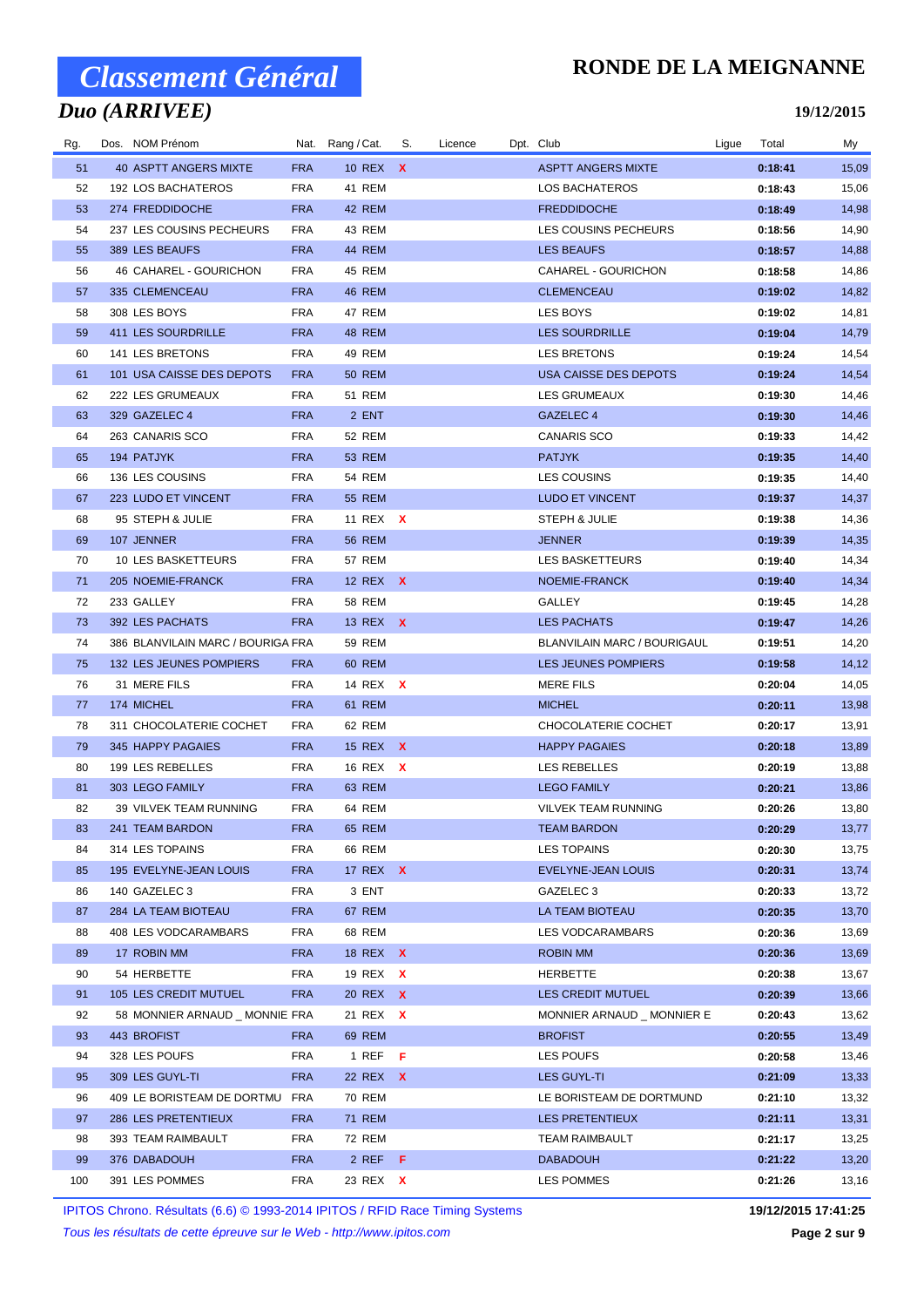## *Duo (ARRIVEE)*

### **RONDE DE LA MEIGNANNE**

#### **19/12/2015**

| Rg. | Dos. NOM Prénom                   |            | Nat. Rang / Cat. | S. | Licence | Dpt. Club                          | Ligue | Total   | My    |
|-----|-----------------------------------|------------|------------------|----|---------|------------------------------------|-------|---------|-------|
| 51  | <b>40 ASPTT ANGERS MIXTE</b>      | <b>FRA</b> | 10 REX X         |    |         | <b>ASPTT ANGERS MIXTE</b>          |       | 0:18:41 | 15,09 |
| 52  | 192 LOS BACHATEROS                | <b>FRA</b> | 41 REM           |    |         | LOS BACHATEROS                     |       | 0:18:43 | 15,06 |
| 53  | 274 FREDDIDOCHE                   | <b>FRA</b> | 42 REM           |    |         | <b>FREDDIDOCHE</b>                 |       | 0:18:49 | 14,98 |
| 54  | 237 LES COUSINS PECHEURS          | <b>FRA</b> | 43 REM           |    |         | LES COUSINS PECHEURS               |       | 0:18:56 | 14,90 |
| 55  | 389 LES BEAUFS                    | <b>FRA</b> | 44 REM           |    |         | LES BEAUFS                         |       | 0:18:57 | 14,88 |
| 56  | 46 CAHAREL - GOURICHON            | <b>FRA</b> | 45 REM           |    |         | CAHAREL - GOURICHON                |       | 0:18:58 | 14,86 |
| 57  | 335 CLEMENCEAU                    | <b>FRA</b> | 46 REM           |    |         | <b>CLEMENCEAU</b>                  |       | 0:19:02 | 14,82 |
| 58  | 308 LES BOYS                      | <b>FRA</b> | 47 REM           |    |         | LES BOYS                           |       | 0:19:02 | 14,81 |
| 59  | 411 LES SOURDRILLE                | <b>FRA</b> | 48 REM           |    |         | <b>LES SOURDRILLE</b>              |       | 0:19:04 | 14,79 |
| 60  | 141 LES BRETONS                   | <b>FRA</b> | 49 REM           |    |         | <b>LES BRETONS</b>                 |       | 0:19:24 | 14,54 |
| 61  | 101 USA CAISSE DES DEPOTS         | <b>FRA</b> | <b>50 REM</b>    |    |         | USA CAISSE DES DEPOTS              |       | 0:19:24 | 14,54 |
| 62  | 222 LES GRUMEAUX                  | <b>FRA</b> | 51 REM           |    |         | LES GRUMEAUX                       |       | 0:19:30 | 14,46 |
| 63  | 329 GAZELEC 4                     | <b>FRA</b> | 2 ENT            |    |         | GAZELEC 4                          |       | 0:19:30 | 14,46 |
| 64  | 263 CANARIS SCO                   | <b>FRA</b> | 52 REM           |    |         | <b>CANARIS SCO</b>                 |       | 0:19:33 | 14,42 |
| 65  | 194 PATJYK                        | <b>FRA</b> | <b>53 REM</b>    |    |         | <b>PATJYK</b>                      |       | 0:19:35 | 14,40 |
| 66  | 136 LES COUSINS                   | <b>FRA</b> | <b>54 REM</b>    |    |         | <b>LES COUSINS</b>                 |       | 0:19:35 | 14,40 |
| 67  | 223 LUDO ET VINCENT               | <b>FRA</b> | <b>55 REM</b>    |    |         | <b>LUDO ET VINCENT</b>             |       | 0:19:37 | 14,37 |
| 68  | 95 STEPH & JULIE                  | <b>FRA</b> | 11 REX X         |    |         | STEPH & JULIE                      |       | 0:19:38 | 14,36 |
| 69  | 107 JENNER                        | <b>FRA</b> | <b>56 REM</b>    |    |         | <b>JENNER</b>                      |       | 0:19:39 | 14,35 |
| 70  | 10 LES BASKETTEURS                | <b>FRA</b> | 57 REM           |    |         | LES BASKETTEURS                    |       | 0:19:40 | 14,34 |
| 71  | 205 NOEMIE-FRANCK                 | <b>FRA</b> | 12 REX X         |    |         | NOEMIE-FRANCK                      |       | 0:19:40 | 14,34 |
| 72  | 233 GALLEY                        | <b>FRA</b> | 58 REM           |    |         | GALLEY                             |       | 0:19:45 | 14,28 |
| 73  | 392 LES PACHATS                   | <b>FRA</b> | 13 REX X         |    |         | <b>LES PACHATS</b>                 |       | 0:19:47 | 14,26 |
| 74  | 386 BLANVILAIN MARC / BOURIGA FRA |            | 59 REM           |    |         | <b>BLANVILAIN MARC / BOURIGAUL</b> |       | 0:19:51 | 14,20 |
| 75  | 132 LES JEUNES POMPIERS           | <b>FRA</b> | 60 REM           |    |         | LES JEUNES POMPIERS                |       | 0:19:58 | 14,12 |
| 76  | 31 MERE FILS                      | <b>FRA</b> | 14 REX X         |    |         | <b>MERE FILS</b>                   |       | 0:20:04 | 14,05 |
| 77  | 174 MICHEL                        | <b>FRA</b> | 61 REM           |    |         | <b>MICHEL</b>                      |       | 0:20:11 | 13,98 |
| 78  | 311 CHOCOLATERIE COCHET           | <b>FRA</b> | 62 REM           |    |         | CHOCOLATERIE COCHET                |       | 0:20:17 | 13,91 |
| 79  | 345 HAPPY PAGAIES                 | <b>FRA</b> | 15 REX X         |    |         | <b>HAPPY PAGAIES</b>               |       | 0:20:18 | 13,89 |
| 80  | 199 LES REBELLES                  | <b>FRA</b> | 16 REX X         |    |         | <b>LES REBELLES</b>                |       | 0:20:19 | 13,88 |
| 81  | 303 LEGO FAMILY                   | <b>FRA</b> | 63 REM           |    |         | <b>LEGO FAMILY</b>                 |       | 0:20:21 | 13,86 |
| 82  | 39 VILVEK TEAM RUNNING            | <b>FRA</b> | 64 REM           |    |         | <b>VILVEK TEAM RUNNING</b>         |       | 0:20:26 | 13,80 |
| 83  | 241 TEAM BARDON                   | <b>FRA</b> | <b>65 REM</b>    |    |         | <b>TEAM BARDON</b>                 |       | 0:20:29 | 13,77 |
| 84  | 314 LES TOPAINS                   | <b>FRA</b> | 66 REM           |    |         | LES TOPAINS                        |       | 0:20:30 | 13,75 |
| 85  | 195 EVELYNE-JEAN LOUIS            | <b>FRA</b> | 17 REX <b>X</b>  |    |         | EVELYNE-JEAN LOUIS                 |       | 0:20:31 | 13,74 |
| 86  | 140 GAZELEC 3                     | <b>FRA</b> | 3 ENT            |    |         | GAZELEC 3                          |       | 0:20:33 | 13,72 |
| 87  | 284 LA TEAM BIOTEAU               | <b>FRA</b> | 67 REM           |    |         | LA TEAM BIOTEAU                    |       | 0:20:35 | 13,70 |
| 88  | 408 LES VODCARAMBARS              | <b>FRA</b> | 68 REM           |    |         | LES VODCARAMBARS                   |       | 0:20:36 | 13,69 |
| 89  | 17 ROBIN MM                       | <b>FRA</b> | 18 REX X         |    |         | ROBIN MM                           |       | 0:20:36 | 13,69 |
| 90  | 54 HERBETTE                       | <b>FRA</b> | 19 REX X         |    |         | HERBETTE                           |       | 0:20:38 | 13,67 |
| 91  | 105 LES CREDIT MUTUEL             | <b>FRA</b> | 20 REX X         |    |         | LES CREDIT MUTUEL                  |       | 0:20:39 | 13,66 |
| 92  | 58 MONNIER ARNAUD _ MONNIE FRA    |            | 21 REX X         |    |         | MONNIER ARNAUD _ MONNIER E         |       | 0:20:43 | 13,62 |
| 93  | 443 BROFIST                       | <b>FRA</b> | 69 REM           |    |         | <b>BROFIST</b>                     |       | 0:20:55 | 13,49 |
| 94  | 328 LES POUFS                     | <b>FRA</b> | 1 REF $F$        |    |         | LES POUFS                          |       | 0:20:58 | 13,46 |
| 95  | 309 LES GUYL-TI                   | <b>FRA</b> | 22 REX X         |    |         | <b>LES GUYL-TI</b>                 |       | 0:21:09 | 13,33 |
| 96  | 409 LE BORISTEAM DE DORTMU        | FRA        | 70 REM           |    |         | LE BORISTEAM DE DORTMUND           |       | 0:21:10 | 13,32 |
| 97  | 286 LES PRETENTIEUX               | <b>FRA</b> | 71 REM           |    |         | LES PRETENTIEUX                    |       | 0:21:11 | 13,31 |
| 98  | 393 TEAM RAIMBAULT                | <b>FRA</b> | <b>72 REM</b>    |    |         | TEAM RAIMBAULT                     |       | 0:21:17 | 13,25 |
| 99  | 376 DABADOUH                      | <b>FRA</b> | $2$ REF F        |    |         | <b>DABADOUH</b>                    |       | 0:21:22 | 13,20 |
| 100 | 391 LES POMMES                    | <b>FRA</b> | 23 REX X         |    |         | LES POMMES                         |       | 0:21:26 | 13,16 |

IPITOS Chrono. Résultats (6.6) © 1993-2014 IPITOS / RFID Race Timing Systems **19/12/2015 17:41:25**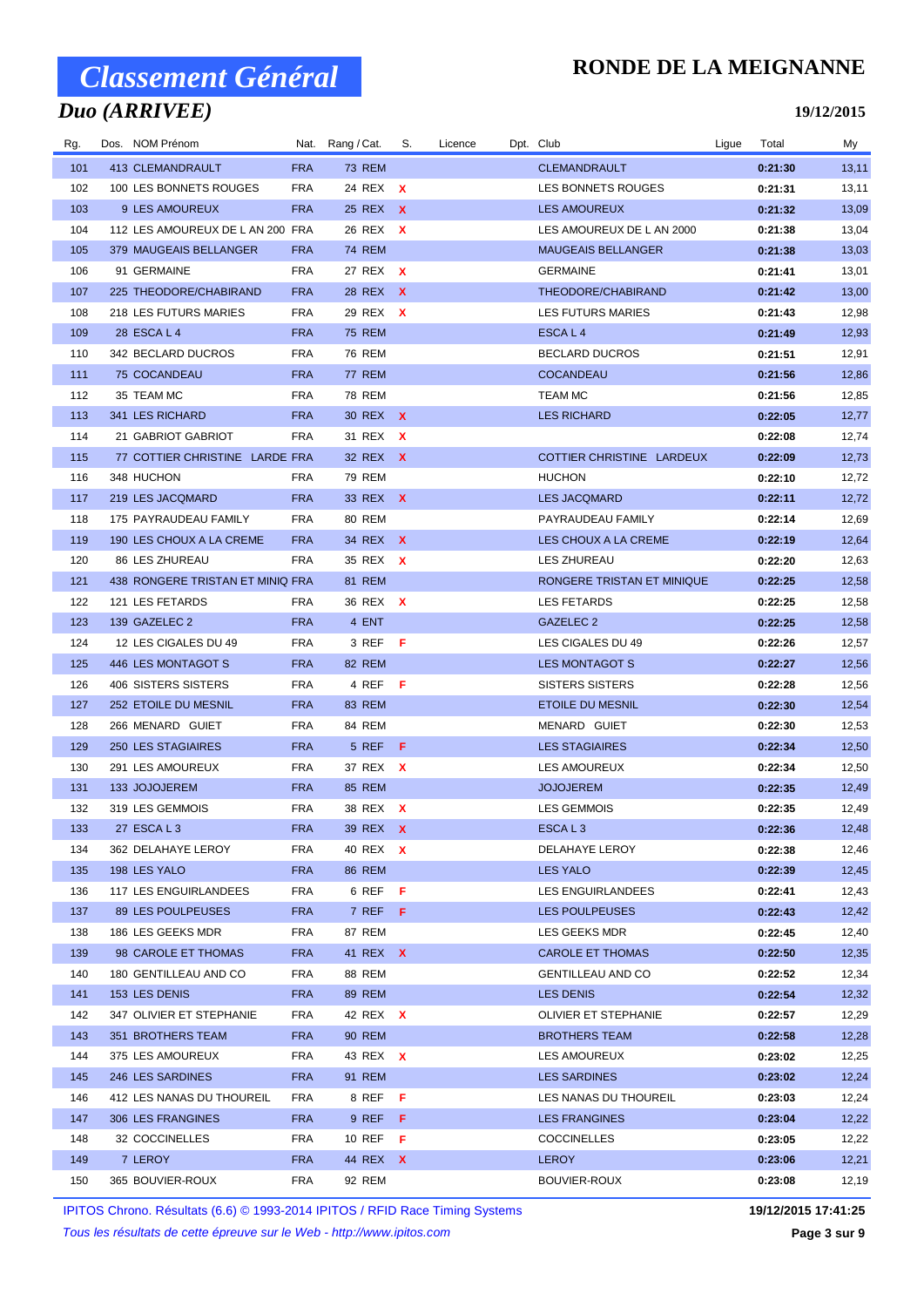## *Duo (ARRIVEE)*

### **RONDE DE LA MEIGNANNE**

**19/12/2015**

| Rg. | Dos. NOM Prénom                  |            | Nat. Rang / Cat. | S. | Licence | Dpt. Club                  | Ligue | Total   | My    |
|-----|----------------------------------|------------|------------------|----|---------|----------------------------|-------|---------|-------|
| 101 | 413 CLEMANDRAULT                 | <b>FRA</b> | <b>73 REM</b>    |    |         | <b>CLEMANDRAULT</b>        |       | 0:21:30 | 13,11 |
| 102 | 100 LES BONNETS ROUGES           | <b>FRA</b> | 24 REX X         |    |         | LES BONNETS ROUGES         |       | 0:21:31 | 13,11 |
| 103 | 9 LES AMOUREUX                   | <b>FRA</b> | 25 REX X         |    |         | <b>LES AMOUREUX</b>        |       | 0:21:32 | 13,09 |
| 104 | 112 LES AMOUREUX DE L AN 200 FRA |            | 26 REX X         |    |         | LES AMOUREUX DE L AN 2000  |       | 0:21:38 | 13,04 |
| 105 | 379 MAUGEAIS BELLANGER           | <b>FRA</b> | 74 REM           |    |         | <b>MAUGEAIS BELLANGER</b>  |       | 0:21:38 | 13,03 |
| 106 | 91 GERMAINE                      | <b>FRA</b> | 27 REX X         |    |         | <b>GERMAINE</b>            |       | 0:21:41 | 13,01 |
| 107 | 225 THEODORE/CHABIRAND           | <b>FRA</b> | 28 REX X         |    |         | THEODORE/CHABIRAND         |       | 0:21:42 | 13,00 |
| 108 | 218 LES FUTURS MARIES            | <b>FRA</b> | 29 REX X         |    |         | <b>LES FUTURS MARIES</b>   |       | 0:21:43 | 12,98 |
| 109 | 28 ESCA L 4                      | <b>FRA</b> | <b>75 REM</b>    |    |         | ESCAL4                     |       | 0:21:49 | 12,93 |
| 110 | 342 BECLARD DUCROS               | <b>FRA</b> | <b>76 REM</b>    |    |         | <b>BECLARD DUCROS</b>      |       | 0:21:51 | 12,91 |
| 111 | 75 COCANDEAU                     | <b>FRA</b> | <b>77 REM</b>    |    |         | <b>COCANDEAU</b>           |       | 0:21:56 | 12,86 |
| 112 | 35 TEAM MC                       | <b>FRA</b> | 78 REM           |    |         | <b>TEAM MC</b>             |       | 0:21:56 | 12,85 |
| 113 | 341 LES RICHARD                  | <b>FRA</b> | 30 REX X         |    |         | <b>LES RICHARD</b>         |       | 0:22:05 | 12,77 |
| 114 | 21 GABRIOT GABRIOT               | <b>FRA</b> | 31 REX X         |    |         |                            |       | 0:22:08 | 12,74 |
| 115 | 77 COTTIER CHRISTINE LARDE FRA   |            | 32 REX X         |    |         | COTTIER CHRISTINE LARDEUX  |       | 0:22:09 | 12,73 |
| 116 | 348 HUCHON                       | <b>FRA</b> | 79 REM           |    |         | <b>HUCHON</b>              |       | 0:22:10 | 12,72 |
| 117 | 219 LES JACQMARD                 | <b>FRA</b> | 33 REX X         |    |         | <b>LES JACQMARD</b>        |       | 0:22:11 | 12,72 |
| 118 | 175 PAYRAUDEAU FAMILY            | <b>FRA</b> | <b>80 REM</b>    |    |         | PAYRAUDEAU FAMILY          |       | 0:22:14 | 12,69 |
| 119 | 190 LES CHOUX A LA CREME         | <b>FRA</b> | 34 REX X         |    |         | LES CHOUX A LA CREME       |       | 0:22:19 | 12,64 |
| 120 | 86 LES ZHUREAU                   | <b>FRA</b> | 35 REX X         |    |         | LES ZHUREAU                |       | 0:22:20 | 12,63 |
| 121 | 438 RONGERE TRISTAN ET MINIQ FRA |            | 81 REM           |    |         | RONGERE TRISTAN ET MINIQUE |       | 0:22:25 | 12,58 |
| 122 | 121 LES FETARDS                  | <b>FRA</b> | 36 REX X         |    |         | <b>LES FETARDS</b>         |       | 0:22:25 | 12,58 |
| 123 | 139 GAZELEC 2                    | <b>FRA</b> | 4 ENT            |    |         | GAZELEC 2                  |       | 0:22:25 | 12,58 |
| 124 | 12 LES CIGALES DU 49             | <b>FRA</b> | 3 REF F          |    |         | LES CIGALES DU 49          |       | 0:22:26 | 12,57 |
| 125 | 446 LES MONTAGOT S               | <b>FRA</b> | 82 REM           |    |         | <b>LES MONTAGOT S</b>      |       | 0:22:27 | 12,56 |
| 126 | 406 SISTERS SISTERS              | <b>FRA</b> | 4 REF F          |    |         | SISTERS SISTERS            |       | 0:22:28 | 12,56 |
| 127 | 252 ETOILE DU MESNIL             | <b>FRA</b> | 83 REM           |    |         | <b>ETOILE DU MESNIL</b>    |       | 0:22:30 | 12,54 |
| 128 | 266 MENARD GUIET                 | <b>FRA</b> | 84 REM           |    |         | MENARD GUIET               |       | 0:22:30 | 12,53 |
| 129 | 250 LES STAGIAIRES               | <b>FRA</b> | 5 REF F          |    |         | <b>LES STAGIAIRES</b>      |       | 0:22:34 | 12,50 |
| 130 | 291 LES AMOUREUX                 | <b>FRA</b> | 37 REX X         |    |         | LES AMOUREUX               |       | 0:22:34 | 12,50 |
| 131 | 133 JOJOJEREM                    | <b>FRA</b> | <b>85 REM</b>    |    |         | <b>JOJOJEREM</b>           |       | 0:22:35 | 12,49 |
| 132 | 319 LES GEMMOIS                  | <b>FRA</b> | 38 REX X         |    |         | <b>LES GEMMOIS</b>         |       | 0:22:35 | 12,49 |
| 133 | 27 ESCAL3                        | <b>FRA</b> | 39 REX X         |    |         | ESCAL <sub>3</sub>         |       | 0:22:36 | 12,48 |
| 134 | 362 DELAHAYE LEROY               | FRA        | 40 REX X         |    |         | DELAHAYE LEROY             |       | 0:22:38 | 12,46 |
| 135 | 198 LES YALO                     | <b>FRA</b> | <b>86 REM</b>    |    |         | LES YALO                   |       | 0:22:39 | 12,45 |
| 136 | 117 LES ENGUIRLANDEES            | <b>FRA</b> | 6 REF $F$        |    |         | LES ENGUIRLANDEES          |       | 0:22:41 | 12,43 |
| 137 | 89 LES POULPEUSES                | <b>FRA</b> | 7 REF F          |    |         | LES POULPEUSES             |       | 0:22:43 | 12,42 |
| 138 | 186 LES GEEKS MDR                | <b>FRA</b> | 87 REM           |    |         | LES GEEKS MDR              |       | 0:22:45 | 12,40 |
| 139 | 98 CAROLE ET THOMAS              | <b>FRA</b> | 41 REX X         |    |         | <b>CAROLE ET THOMAS</b>    |       | 0:22:50 | 12,35 |
| 140 | 180 GENTILLEAU AND CO            | <b>FRA</b> | 88 REM           |    |         | <b>GENTILLEAU AND CO</b>   |       | 0:22:52 | 12,34 |
| 141 | 153 LES DENIS                    | <b>FRA</b> | 89 REM           |    |         | LES DENIS                  |       | 0:22:54 | 12,32 |
| 142 | 347 OLIVIER ET STEPHANIE         | <b>FRA</b> | 42 REX X         |    |         | OLIVIER ET STEPHANIE       |       | 0:22:57 | 12,29 |
| 143 | 351 BROTHERS TEAM                | <b>FRA</b> | 90 REM           |    |         | <b>BROTHERS TEAM</b>       |       | 0:22:58 | 12,28 |
| 144 | 375 LES AMOUREUX                 | <b>FRA</b> | 43 REX X         |    |         | LES AMOUREUX               |       | 0:23:02 | 12,25 |
| 145 | 246 LES SARDINES                 | <b>FRA</b> | 91 REM           |    |         | LES SARDINES               |       | 0:23:02 | 12,24 |
| 146 | 412 LES NANAS DU THOUREIL        | <b>FRA</b> | 8 REFF           |    |         | LES NANAS DU THOUREIL      |       | 0:23:03 | 12,24 |
| 147 | 306 LES FRANGINES                | <b>FRA</b> | $9$ REF F        |    |         | LES FRANGINES              |       | 0:23:04 | 12,22 |
| 148 | 32 COCCINELLES                   | <b>FRA</b> | 10 REF $F$       |    |         | <b>COCCINELLES</b>         |       | 0:23:05 | 12,22 |
| 149 | 7 LEROY                          | <b>FRA</b> | 44 REX <b>X</b>  |    |         | LEROY                      |       | 0:23:06 | 12,21 |
| 150 | 365 BOUVIER-ROUX                 | <b>FRA</b> | 92 REM           |    |         | <b>BOUVIER-ROUX</b>        |       | 0:23:08 | 12,19 |

IPITOS Chrono. Résultats (6.6) © 1993-2014 IPITOS / RFID Race Timing Systems **19/12/2015 17:41:25**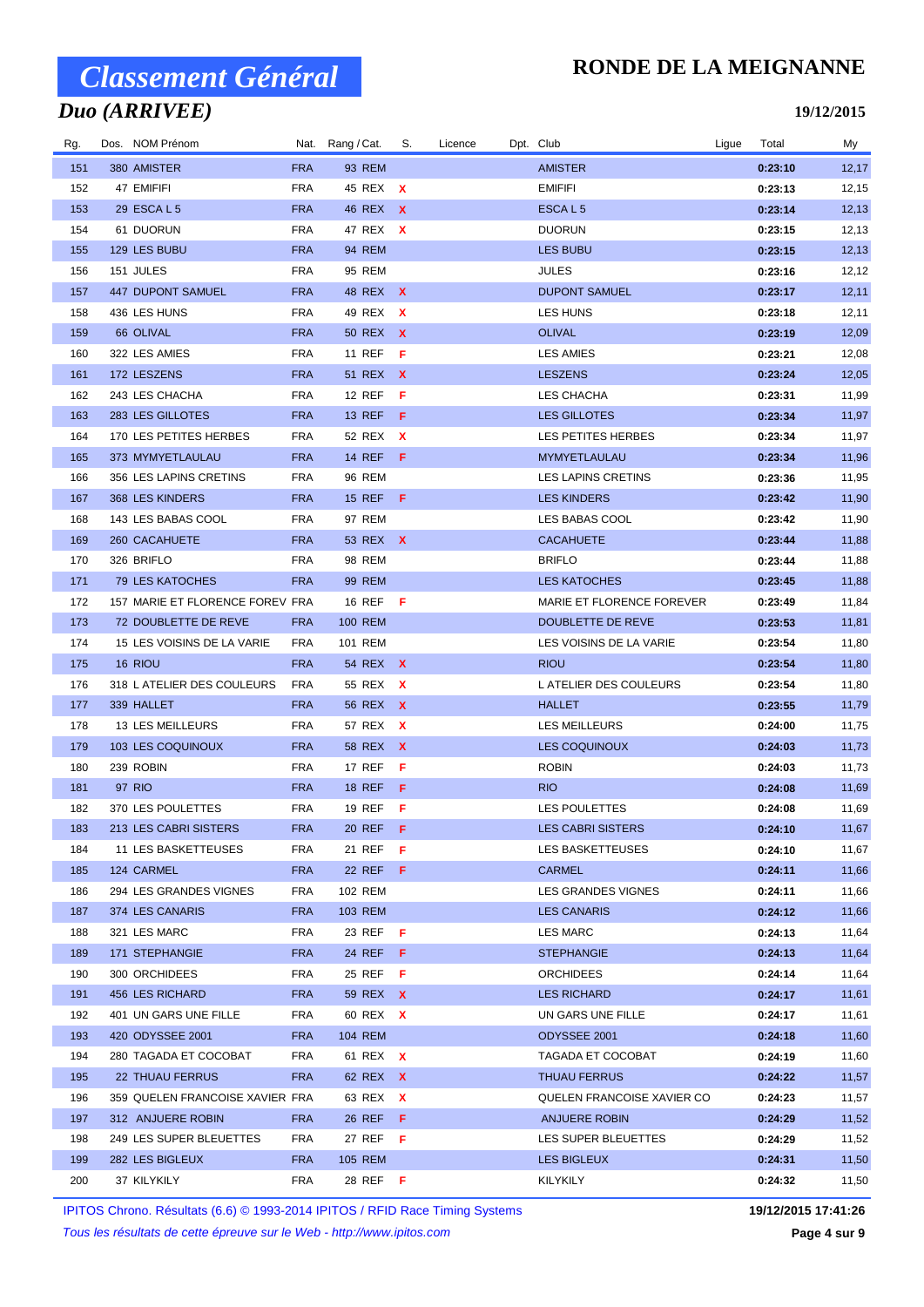## *Duo (ARRIVEE)*

### **RONDE DE LA MEIGNANNE**

**19/12/2015**

| Rg.        | Dos. NOM Prénom                 |                          | Nat. Rang / Cat.     | S.  | Licence | Dpt. Club                      | Ligue | Total              | My             |
|------------|---------------------------------|--------------------------|----------------------|-----|---------|--------------------------------|-------|--------------------|----------------|
| 151        | 380 AMISTER                     | <b>FRA</b>               | 93 REM               |     |         | <b>AMISTER</b>                 |       | 0:23:10            | 12,17          |
| 152        | 47 EMIFIFI                      | FRA                      | 45 REX X             |     |         | <b>EMIFIFI</b>                 |       | 0:23:13            | 12,15          |
| 153        | 29 ESCA L 5                     | <b>FRA</b>               | 46 REX X             |     |         | ESCAL <sub>5</sub>             |       | 0:23:14            | 12, 13         |
| 154        | 61 DUORUN                       | <b>FRA</b>               | 47 REX X             |     |         | <b>DUORUN</b>                  |       | 0:23:15            | 12,13          |
| 155        | 129 LES BUBU                    | <b>FRA</b>               | 94 REM               |     |         | <b>LES BUBU</b>                |       | 0:23:15            | 12, 13         |
| 156        | 151 JULES                       | <b>FRA</b>               | 95 REM               |     |         | JULES                          |       | 0:23:16            | 12,12          |
| 157        | 447 DUPONT SAMUEL               | <b>FRA</b>               | 48 REX X             |     |         | <b>DUPONT SAMUEL</b>           |       | 0:23:17            | 12,11          |
| 158        | 436 LES HUNS                    | <b>FRA</b>               | 49 REX X             |     |         | LES HUNS                       |       | 0:23:18            | 12,11          |
| 159        | 66 OLIVAL                       | <b>FRA</b>               | 50 REX X             |     |         | <b>OLIVAL</b>                  |       | 0:23:19            | 12,09          |
| 160        | 322 LES AMIES                   | <b>FRA</b>               | 11 REF F             |     |         | <b>LES AMIES</b>               |       | 0:23:21            | 12,08          |
| 161        | 172 LESZENS                     | <b>FRA</b>               | 51 REX X             |     |         | <b>LESZENS</b>                 |       | 0:23:24            | 12,05          |
| 162        | 243 LES CHACHA                  | <b>FRA</b>               | <b>12 REF</b>        | - F |         | LES CHACHA                     |       | 0:23:31            | 11,99          |
| 163        | 283 LES GILLOTES                | <b>FRA</b>               | 13 REF F             |     |         | <b>LES GILLOTES</b>            |       | 0:23:34            | 11,97          |
| 164        | 170 LES PETITES HERBES          | <b>FRA</b>               | 52 REX X             |     |         | LES PETITES HERBES             |       | 0:23:34            | 11,97          |
| 165        | 373 MYMYETLAULAU                | <b>FRA</b>               | 14 REF <b>F</b>      |     |         | MYMYETLAULAU                   |       | 0:23:34            | 11,96          |
| 166        | 356 LES LAPINS CRETINS          | <b>FRA</b>               | <b>96 REM</b>        |     |         | LES LAPINS CRETINS             |       | 0:23:36            | 11,95          |
| 167        | 368 LES KINDERS                 | <b>FRA</b>               | 15 REF <b>F</b>      |     |         | <b>LES KINDERS</b>             |       | 0:23:42            | 11,90          |
| 168        | 143 LES BABAS COOL              | FRA                      | 97 REM               |     |         | LES BABAS COOL                 |       | 0:23:42            | 11,90          |
| 169        | 260 CACAHUETE                   | <b>FRA</b>               | 53 REX X             |     |         | <b>CACAHUETE</b>               |       | 0:23:44            | 11,88          |
| 170        | 326 BRIFLO                      | FRA                      | 98 REM               |     |         | <b>BRIFLO</b>                  |       | 0:23:44            | 11,88          |
| 171        | 79 LES KATOCHES                 | <b>FRA</b>               | 99 REM               |     |         | <b>LES KATOCHES</b>            |       | 0:23:45            | 11,88          |
| 172        | 157 MARIE ET FLORENCE FOREV FRA |                          | 16 REF <b>F</b>      |     |         | MARIE ET FLORENCE FOREVER      |       | 0:23:49            | 11,84          |
| 173        | 72 DOUBLETTE DE REVE            | <b>FRA</b>               | 100 REM              |     |         | DOUBLETTE DE REVE              |       | 0:23:53            | 11,81          |
| 174        | 15 LES VOISINS DE LA VARIE      | <b>FRA</b>               | 101 REM              |     |         | LES VOISINS DE LA VARIE        |       | 0:23:54            | 11,80          |
| 175        | 16 RIOU                         | <b>FRA</b>               | 54 REX X             |     |         | <b>RIOU</b>                    |       | 0:23:54            | 11,80          |
| 176        | 318 L ATELIER DES COULEURS      | <b>FRA</b>               | 55 REX X             |     |         | L ATELIER DES COULEURS         |       | 0:23:54            | 11,80          |
| 177<br>178 | 339 HALLET<br>13 LES MEILLEURS  | <b>FRA</b><br><b>FRA</b> | 56 REX X<br>57 REX X |     |         | <b>HALLET</b><br>LES MEILLEURS |       | 0:23:55            | 11,79<br>11,75 |
| 179        | 103 LES COQUINOUX               | <b>FRA</b>               | 58 REX X             |     |         | LES COQUINOUX                  |       | 0:24:00<br>0:24:03 | 11,73          |
| 180        | 239 ROBIN                       | FRA                      | 17 REF               | - F |         | <b>ROBIN</b>                   |       | 0:24:03            | 11,73          |
| 181        | 97 RIO                          | <b>FRA</b>               | 18 REF F             |     |         | RIO.                           |       | 0:24:08            | 11,69          |
| 182        | 370 LES POULETTES               | <b>FRA</b>               | 19 REF <b>F</b>      |     |         | <b>LES POULETTES</b>           |       | 0:24:08            | 11,69          |
| 183        | 213 LES CABRI SISTERS           | <b>FRA</b>               | 20 REF F             |     |         | <b>LES CABRI SISTERS</b>       |       | 0:24:10            | 11,67          |
| 184        | 11 LES BASKETTEUSES             | FRA                      | 21 REF F             |     |         | LES BASKETTEUSES               |       | 0:24:10            | 11,67          |
| 185        | 124 CARMEL                      | <b>FRA</b>               | 22 REF $F$           |     |         | <b>CARMEL</b>                  |       | 0:24:11            | 11,66          |
| 186        | 294 LES GRANDES VIGNES          | FRA                      | 102 REM              |     |         | LES GRANDES VIGNES             |       | 0:24:11            | 11,66          |
| 187        | 374 LES CANARIS                 | <b>FRA</b>               | 103 REM              |     |         | <b>LES CANARIS</b>             |       | 0:24:12            | 11,66          |
| 188        | 321 LES MARC                    | FRA                      | 23 REF <b>F</b>      |     |         | <b>LES MARC</b>                |       | 0:24:13            | 11,64          |
| 189        | 171 STEPHANGIE                  | <b>FRA</b>               | 24 REF <b>F</b>      |     |         | <b>STEPHANGIE</b>              |       | 0:24:13            | 11,64          |
| 190        | 300 ORCHIDEES                   | FRA                      | 25 REF <b>F</b>      |     |         | ORCHIDEES                      |       | 0:24:14            | 11,64          |
| 191        | 456 LES RICHARD                 | <b>FRA</b>               | 59 REX X             |     |         | <b>LES RICHARD</b>             |       | 0:24:17            | 11,61          |
| 192        | 401 UN GARS UNE FILLE           | FRA                      | 60 REX X             |     |         | UN GARS UNE FILLE              |       | 0:24:17            | 11,61          |
| 193        | 420 ODYSSEE 2001                | <b>FRA</b>               | 104 REM              |     |         | ODYSSEE 2001                   |       | 0:24:18            | 11,60          |
| 194        | 280 TAGADA ET COCOBAT           | <b>FRA</b>               | 61 REX X             |     |         | TAGADA ET COCOBAT              |       | 0:24:19            | 11,60          |
| 195        | 22 THUAU FERRUS                 | <b>FRA</b>               | 62 REX X             |     |         | <b>THUAU FERRUS</b>            |       | 0:24:22            | 11,57          |
| 196        | 359 QUELEN FRANCOISE XAVIER FRA |                          | 63 REX X             |     |         | QUELEN FRANCOISE XAVIER CO     |       | 0:24:23            | 11,57          |
| 197        | 312 ANJUERE ROBIN               | <b>FRA</b>               | 26 REF <b>F</b>      |     |         | ANJUERE ROBIN                  |       | 0:24:29            | 11,52          |
| 198        | 249 LES SUPER BLEUETTES         | <b>FRA</b>               | 27 REF <b>F</b>      |     |         | LES SUPER BLEUETTES            |       | 0:24:29            | 11,52          |
| 199        | 282 LES BIGLEUX                 | <b>FRA</b>               | 105 REM              |     |         | LES BIGLEUX                    |       | 0:24:31            | 11,50          |
| 200        | 37 KILYKILY                     | FRA                      | 28 REF F             |     |         | KILYKILY                       |       | 0:24:32            | 11,50          |

IPITOS Chrono. Résultats (6.6) © 1993-2014 IPITOS / RFID Race Timing Systems **19/12/2015 17:41:26**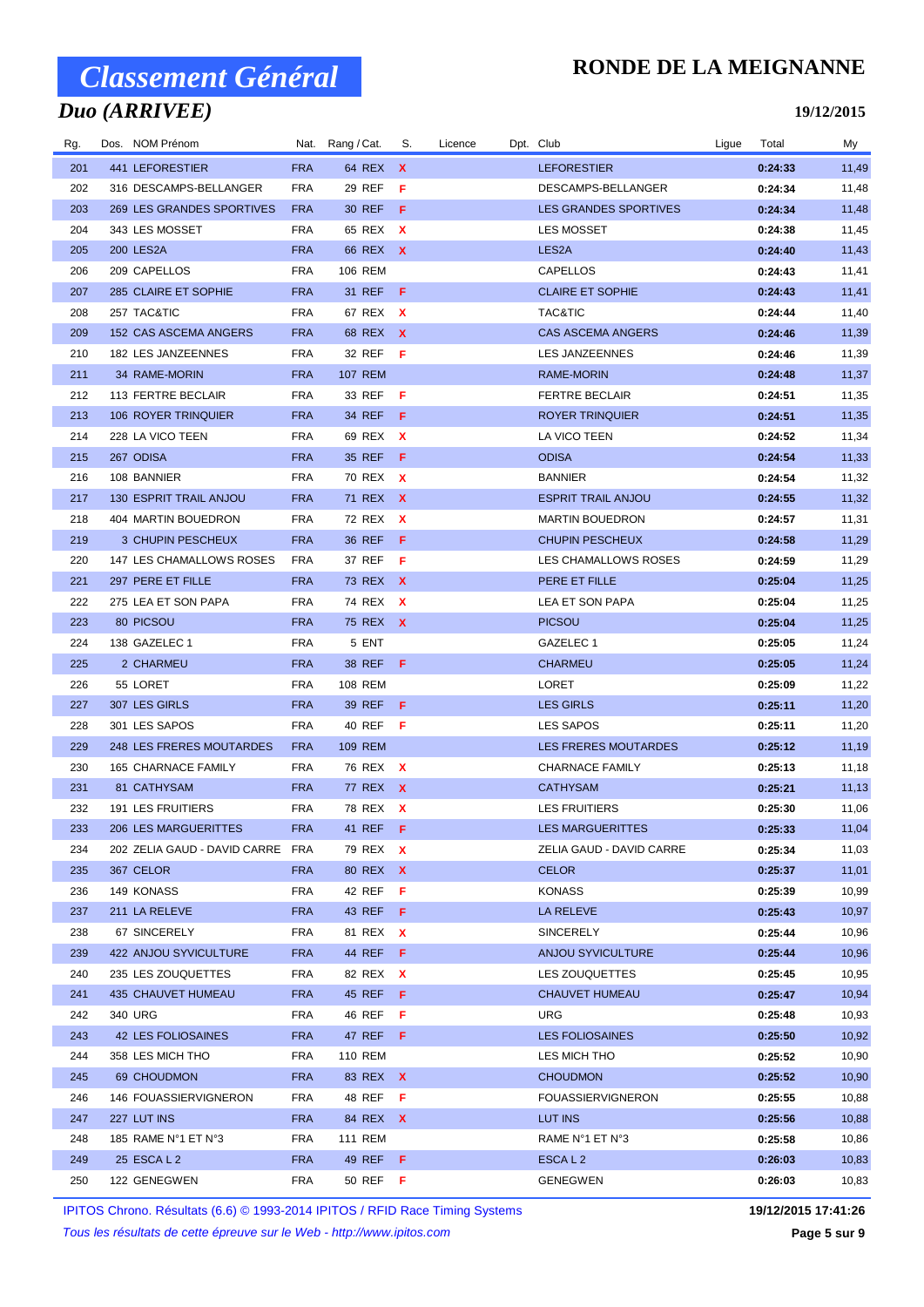## *Duo (ARRIVEE)*

### **RONDE DE LA MEIGNANNE**

#### **19/12/2015**

| Rg. | Dos. NOM Prénom                  |            | Nat. Rang / Cat. | S.  | Licence | Dpt. Club                    | Ligue | Total   | My    |
|-----|----------------------------------|------------|------------------|-----|---------|------------------------------|-------|---------|-------|
| 201 | 441 LEFORESTIER                  | <b>FRA</b> | 64 REX X         |     |         | <b>LEFORESTIER</b>           |       | 0:24:33 | 11,49 |
| 202 | 316 DESCAMPS-BELLANGER           | <b>FRA</b> | 29 REF           | - F |         | DESCAMPS-BELLANGER           |       | 0:24:34 | 11,48 |
| 203 | 269 LES GRANDES SPORTIVES        | <b>FRA</b> | 30 REF <b>F</b>  |     |         | <b>LES GRANDES SPORTIVES</b> |       | 0:24:34 | 11,48 |
| 204 | 343 LES MOSSET                   | <b>FRA</b> | 65 REX X         |     |         | <b>LES MOSSET</b>            |       | 0:24:38 | 11,45 |
| 205 | 200 LES2A                        | <b>FRA</b> | 66 REX X         |     |         | LES <sub>2</sub> A           |       | 0:24:40 | 11,43 |
| 206 | 209 CAPELLOS                     | <b>FRA</b> | 106 REM          |     |         | <b>CAPELLOS</b>              |       | 0:24:43 | 11,41 |
| 207 | 285 CLAIRE ET SOPHIE             | <b>FRA</b> | 31 REF <b>F</b>  |     |         | <b>CLAIRE ET SOPHIE</b>      |       | 0:24:43 | 11,41 |
| 208 | 257 TAC&TIC                      | <b>FRA</b> | 67 REX X         |     |         | TAC&TIC                      |       | 0:24:44 | 11,40 |
| 209 | 152 CAS ASCEMA ANGERS            | <b>FRA</b> | 68 REX X         |     |         | <b>CAS ASCEMA ANGERS</b>     |       | 0:24:46 | 11,39 |
| 210 | 182 LES JANZEENNES               | <b>FRA</b> | 32 REF <b>F</b>  |     |         | <b>LES JANZEENNES</b>        |       | 0:24:46 | 11,39 |
| 211 | 34 RAME-MORIN                    | <b>FRA</b> | 107 REM          |     |         | RAME-MORIN                   |       | 0:24:48 | 11,37 |
| 212 | 113 FERTRE BECLAIR               | <b>FRA</b> | 33 REF <b>F</b>  |     |         | FERTRE BECLAIR               |       | 0:24:51 | 11,35 |
| 213 | 106 ROYER TRINQUIER              | <b>FRA</b> | 34 REF <b>F</b>  |     |         | ROYER TRINQUIER              |       | 0:24:51 | 11,35 |
| 214 | 228 LA VICO TEEN                 | <b>FRA</b> | 69 REX X         |     |         | LA VICO TEEN                 |       | 0:24:52 | 11,34 |
| 215 | 267 ODISA                        | <b>FRA</b> | 35 REF F         |     |         | <b>ODISA</b>                 |       | 0:24:54 | 11,33 |
| 216 | 108 BANNIER                      | <b>FRA</b> | 70 REX X         |     |         | <b>BANNIER</b>               |       | 0:24:54 | 11,32 |
| 217 | 130 ESPRIT TRAIL ANJOU           | <b>FRA</b> | 71 REX X         |     |         | <b>ESPRIT TRAIL ANJOU</b>    |       | 0:24:55 | 11,32 |
| 218 | 404 MARTIN BOUEDRON              | <b>FRA</b> | 72 REX X         |     |         | <b>MARTIN BOUEDRON</b>       |       | 0:24:57 | 11,31 |
| 219 | 3 CHUPIN PESCHEUX                | <b>FRA</b> | 36 REF <b>F</b>  |     |         | <b>CHUPIN PESCHEUX</b>       |       | 0:24:58 | 11,29 |
| 220 | 147 LES CHAMALLOWS ROSES         | <b>FRA</b> | 37 REF           | - F |         | LES CHAMALLOWS ROSES         |       | 0:24:59 | 11,29 |
| 221 | 297 PERE ET FILLE                | <b>FRA</b> | 73 REX X         |     |         | PERE ET FILLE                |       | 0:25:04 | 11,25 |
| 222 | 275 LEA ET SON PAPA              | <b>FRA</b> | 74 REX X         |     |         | LEA ET SON PAPA              |       | 0:25:04 | 11,25 |
| 223 | 80 PICSOU                        | <b>FRA</b> | 75 REX X         |     |         | <b>PICSOU</b>                |       | 0:25:04 | 11,25 |
| 224 | 138 GAZELEC 1                    | <b>FRA</b> | 5 ENT            |     |         | GAZELEC 1                    |       | 0:25:05 | 11,24 |
| 225 | 2 CHARMEU                        | <b>FRA</b> | 38 REF <b>F</b>  |     |         | <b>CHARMEU</b>               |       | 0:25:05 | 11,24 |
| 226 | 55 LORET                         | <b>FRA</b> | 108 REM          |     |         | LORET                        |       | 0:25:09 | 11,22 |
| 227 | 307 LES GIRLS                    | <b>FRA</b> | 39 REF           | - F |         | <b>LES GIRLS</b>             |       | 0:25:11 | 11,20 |
| 228 | 301 LES SAPOS                    | <b>FRA</b> | 40 REF <b>F</b>  |     |         | LES SAPOS                    |       | 0:25:11 | 11,20 |
| 229 | 248 LES FRERES MOUTARDES         | <b>FRA</b> | 109 REM          |     |         | <b>LES FRERES MOUTARDES</b>  |       | 0:25:12 | 11,19 |
| 230 | 165 CHARNACE FAMILY              | <b>FRA</b> | 76 REX X         |     |         | <b>CHARNACE FAMILY</b>       |       | 0:25:13 | 11,18 |
| 231 | 81 CATHYSAM                      | <b>FRA</b> | 77 REX X         |     |         | <b>CATHYSAM</b>              |       | 0:25:21 | 11,13 |
| 232 | 191 LES FRUITIERS                | <b>FRA</b> | 78 REX X         |     |         | <b>LES FRUITIERS</b>         |       | 0:25:30 | 11,06 |
| 233 | 206 LES MARGUERITTES FRA         |            | 41 REF F         |     |         | LES MARGUERITTES             |       | 0:25:33 | 11,04 |
| 234 | 202 ZELIA GAUD - DAVID CARRE FRA |            | 79 REX X         |     |         | ZELIA GAUD - DAVID CARRE     |       | 0:25:34 | 11,03 |
| 235 | 367 CELOR                        | <b>FRA</b> | 80 REX X         |     |         | <b>CELOR</b>                 |       | 0:25:37 | 11,01 |
| 236 | 149 KONASS                       | <b>FRA</b> | 42 REF <b>F</b>  |     |         | KONASS                       |       | 0:25:39 | 10,99 |
| 237 | 211 LA RELEVE                    | <b>FRA</b> | 43 REF <b>F</b>  |     |         | LA RELEVE                    |       | 0:25:43 | 10,97 |
| 238 | 67 SINCERELY                     | <b>FRA</b> | 81 REX X         |     |         | SINCERELY                    |       | 0:25:44 | 10,96 |
| 239 | 422 ANJOU SYVICULTURE            | <b>FRA</b> | 44 REF <b>F</b>  |     |         | <b>ANJOU SYVICULTURE</b>     |       | 0:25:44 | 10,96 |
| 240 | 235 LES ZOUQUETTES               | <b>FRA</b> | 82 REX X         |     |         | LES ZOUQUETTES               |       | 0:25:45 | 10,95 |
| 241 | 435 CHAUVET HUMEAU               | <b>FRA</b> | 45 REF <b>F</b>  |     |         | <b>CHAUVET HUMEAU</b>        |       | 0:25:47 | 10,94 |
| 242 | 340 URG                          | <b>FRA</b> | 46 REF <b>F</b>  |     |         | <b>URG</b>                   |       | 0:25:48 | 10,93 |
| 243 | 42 LES FOLIOSAINES               | <b>FRA</b> | 47 REF <b>F</b>  |     |         | <b>LES FOLIOSAINES</b>       |       | 0:25:50 | 10,92 |
| 244 | 358 LES MICH THO                 | <b>FRA</b> | 110 REM          |     |         | LES MICH THO                 |       | 0:25:52 | 10,90 |
| 245 | 69 CHOUDMON                      | <b>FRA</b> | 83 REX X         |     |         | <b>CHOUDMON</b>              |       | 0:25:52 | 10,90 |
| 246 | 146 FOUASSIERVIGNERON            | <b>FRA</b> | 48 REF <b>F</b>  |     |         | <b>FOUASSIERVIGNERON</b>     |       | 0:25:55 | 10,88 |
| 247 | 227 LUT INS                      | <b>FRA</b> | 84 REX X         |     |         | LUT INS                      |       | 0:25:56 | 10,88 |
| 248 | 185 RAME N°1 ET N°3              | <b>FRA</b> | 111 REM          |     |         | RAME N°1 ET N°3              |       | 0:25:58 | 10,86 |
| 249 | 25 ESCA L 2                      | <b>FRA</b> | 49 REF <b>F</b>  |     |         | ESCAL <sub>2</sub>           |       | 0:26:03 | 10,83 |
| 250 | 122 GENEGWEN                     | <b>FRA</b> | 50 REF <b>F</b>  |     |         | GENEGWEN                     |       | 0:26:03 | 10,83 |

IPITOS Chrono. Résultats (6.6) © 1993-2014 IPITOS / RFID Race Timing Systems **19/12/2015 17:41:26**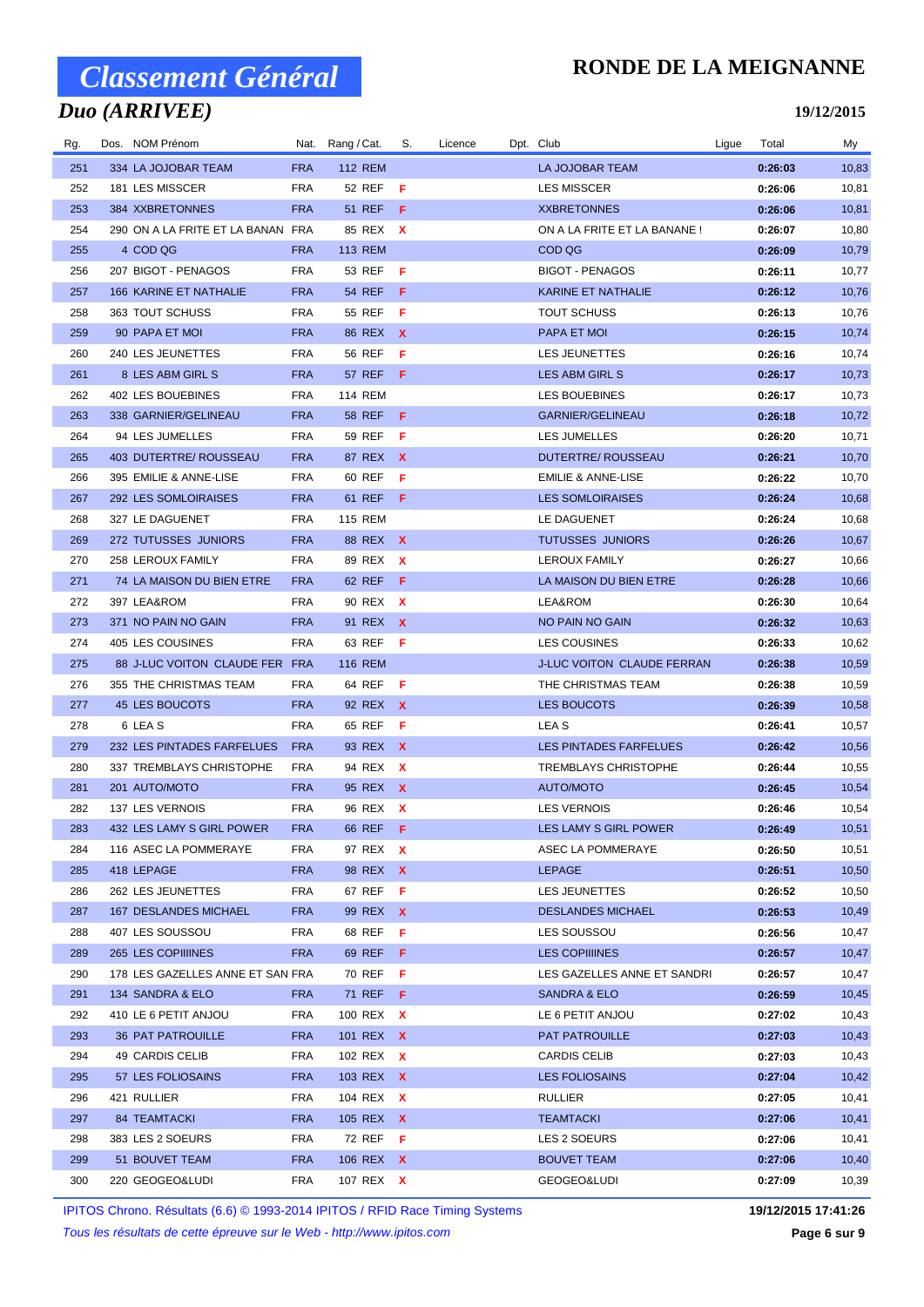## *Duo (ARRIVEE)*

### **RONDE DE LA MEIGNANNE**

#### **19/12/2015**

| Rg. | Dos. NOM Prénom                   |            | Nat. Rang / Cat. | S.  | Licence | Dpt. Club                         | Ligue | Total   | My    |
|-----|-----------------------------------|------------|------------------|-----|---------|-----------------------------------|-------|---------|-------|
| 251 | 334 LA JOJOBAR TEAM               | <b>FRA</b> | <b>112 REM</b>   |     |         | <b>LA JOJOBAR TEAM</b>            |       | 0:26:03 | 10,83 |
| 252 | 181 LES MISSCER                   | <b>FRA</b> | 52 REF           | - F |         | <b>LES MISSCER</b>                |       | 0:26:06 | 10,81 |
| 253 | 384 XXBRETONNES                   | <b>FRA</b> | <b>51 REF</b>    | - F |         | <b>XXBRETONNES</b>                |       | 0:26:06 | 10,81 |
| 254 | 290 ON A LA FRITE ET LA BANAN FRA |            | 85 REX X         |     |         | ON A LA FRITE ET LA BANANE!       |       | 0:26:07 | 10,80 |
| 255 | 4 COD QG                          | <b>FRA</b> | <b>113 REM</b>   |     |         | COD QG                            |       | 0:26:09 | 10,79 |
| 256 | 207 BIGOT - PENAGOS               | <b>FRA</b> | 53 REF <b>F</b>  |     |         | <b>BIGOT - PENAGOS</b>            |       | 0:26:11 | 10,77 |
| 257 | 166 KARINE ET NATHALIE            | <b>FRA</b> | 54 REF F         |     |         | KARINE ET NATHALIE                |       | 0:26:12 | 10,76 |
| 258 | 363 TOUT SCHUSS                   | <b>FRA</b> | 55 REF           | -F  |         | <b>TOUT SCHUSS</b>                |       | 0:26:13 | 10,76 |
| 259 | 90 PAPA ET MOI                    | <b>FRA</b> | 86 REX X         |     |         | PAPA ET MOI                       |       | 0:26:15 | 10,74 |
| 260 | 240 LES JEUNETTES                 | <b>FRA</b> | 56 REF           | - F |         | LES JEUNETTES                     |       | 0:26:16 | 10,74 |
| 261 | 8 LES ABM GIRL S                  | <b>FRA</b> | 57 REF F         |     |         | LES ABM GIRL S                    |       | 0:26:17 | 10,73 |
| 262 | 402 LES BOUEBINES                 | <b>FRA</b> | 114 REM          |     |         | LES BOUEBINES                     |       | 0:26:17 | 10,73 |
| 263 | 338 GARNIER/GELINEAU              | <b>FRA</b> | 58 REF           | - F |         | <b>GARNIER/GELINEAU</b>           |       | 0:26:18 | 10,72 |
| 264 | 94 LES JUMELLES                   | <b>FRA</b> | 59 REF           | - F |         | LES JUMELLES                      |       | 0:26:20 | 10,71 |
| 265 | 403 DUTERTRE/ ROUSSEAU            | <b>FRA</b> | 87 REX X         |     |         | <b>DUTERTRE/ ROUSSEAU</b>         |       | 0:26:21 | 10,70 |
| 266 | 395 EMILIE & ANNE-LISE            | <b>FRA</b> | 60 REF           | Æ   |         | <b>EMILIE &amp; ANNE-LISE</b>     |       | 0:26:22 | 10,70 |
| 267 | 292 LES SOMLOIRAISES              | <b>FRA</b> | 61 REF           | - F |         | <b>LES SOMLOIRAISES</b>           |       | 0:26:24 | 10,68 |
| 268 | 327 LE DAGUENET                   | <b>FRA</b> | <b>115 REM</b>   |     |         | LE DAGUENET                       |       | 0:26:24 | 10,68 |
| 269 | 272 TUTUSSES JUNIORS              | <b>FRA</b> | 88 REX X         |     |         | <b>TUTUSSES JUNIORS</b>           |       | 0:26:26 | 10,67 |
| 270 | 258 LEROUX FAMILY                 | <b>FRA</b> | 89 REX X         |     |         | <b>LEROUX FAMILY</b>              |       | 0:26:27 | 10,66 |
| 271 | 74 LA MAISON DU BIEN ETRE         | <b>FRA</b> | 62 REF           | - F |         | LA MAISON DU BIEN ETRE            |       | 0:26:28 | 10,66 |
| 272 | 397 LEA&ROM                       | <b>FRA</b> | 90 REX X         |     |         | LEA&ROM                           |       | 0:26:30 | 10,64 |
| 273 | 371 NO PAIN NO GAIN               | <b>FRA</b> | 91 REX X         |     |         | NO PAIN NO GAIN                   |       | 0:26:32 | 10,63 |
| 274 | 405 LES COUSINES                  | <b>FRA</b> | 63 REF <b>F</b>  |     |         | LES COUSINES                      |       | 0:26:33 | 10,62 |
| 275 | 88 J-LUC VOITON CLAUDE FER FRA    |            | <b>116 REM</b>   |     |         | <b>J-LUC VOITON CLAUDE FERRAN</b> |       | 0:26:38 | 10,59 |
| 276 | 355 THE CHRISTMAS TEAM            | <b>FRA</b> | 64 REF           | - F |         | THE CHRISTMAS TEAM                |       | 0:26:38 | 10,59 |
| 277 | 45 LES BOUCOTS                    | <b>FRA</b> | 92 REX X         |     |         | LES BOUCOTS                       |       | 0:26:39 | 10,58 |
| 278 | 6 LEA S                           | <b>FRA</b> | 65 REF           | - F |         | LEA S                             |       | 0:26:41 | 10,57 |
| 279 | 232 LES PINTADES FARFELUES        | <b>FRA</b> | 93 REX X         |     |         | LES PINTADES FARFELUES            |       | 0:26:42 | 10,56 |
| 280 | 337 TREMBLAYS CHRISTOPHE          | <b>FRA</b> | 94 REX X         |     |         | <b>TREMBLAYS CHRISTOPHE</b>       |       | 0:26:44 | 10,55 |
| 281 | 201 AUTO/MOTO                     | <b>FRA</b> | 95 REX X         |     |         | AUTO/MOTO                         |       | 0:26:45 | 10,54 |
| 282 | <b>137 LES VERNOIS</b>            | <b>FRA</b> | 96 REX X         |     |         | <b>LES VERNOIS</b>                |       | 0:26:46 | 10,54 |
| 283 | 432 LES LAMY S GIRL POWER         | <b>FRA</b> | 66 REF           | - F |         | LES LAMY S GIRL POWER             |       | 0:26:49 | 10,51 |
| 284 | 116 ASEC LA POMMERAYE             | <b>FRA</b> | 97 REX X         |     |         | ASEC LA POMMERAYE                 |       | 0:26:50 | 10,51 |
| 285 | 418 LEPAGE                        | <b>FRA</b> | 98 REX X         |     |         | LEPAGE                            |       | 0:26:51 | 10,50 |
| 286 | 262 LES JEUNETTES                 | <b>FRA</b> | 67 REF <b>F</b>  |     |         | LES JEUNETTES                     |       | 0:26:52 | 10,50 |
| 287 | 167 DESLANDES MICHAEL             | <b>FRA</b> | 99 REX X         |     |         | <b>DESLANDES MICHAEL</b>          |       | 0:26:53 | 10,49 |
| 288 | 407 LES SOUSSOU                   | <b>FRA</b> | 68 REF <b>F</b>  |     |         | LES SOUSSOU                       |       | 0:26:56 | 10,47 |
| 289 | 265 LES COPIIIINES                | <b>FRA</b> | 69 REF <b>F</b>  |     |         | <b>LES COPIIIINES</b>             |       | 0:26:57 | 10,47 |
| 290 | 178 LES GAZELLES ANNE ET SAN FRA  |            | 70 REF F         |     |         | LES GAZELLES ANNE ET SANDRI       |       | 0:26:57 | 10,47 |
| 291 | 134 SANDRA & ELO                  | <b>FRA</b> | 71 REF F         |     |         | SANDRA & ELO                      |       | 0:26:59 | 10,45 |
| 292 | 410 LE 6 PETIT ANJOU              | <b>FRA</b> | 100 REX X        |     |         | LE 6 PETIT ANJOU                  |       | 0:27:02 | 10,43 |
| 293 | 36 PAT PATROUILLE                 | FRA        | 101 REX X        |     |         | PAT PATROUILLE                    |       | 0:27:03 | 10,43 |
| 294 | 49 CARDIS CELIB                   | <b>FRA</b> | 102 REX X        |     |         | <b>CARDIS CELIB</b>               |       | 0:27:03 | 10,43 |
| 295 | 57 LES FOLIOSAINS                 | <b>FRA</b> | 103 REX X        |     |         | <b>LES FOLIOSAINS</b>             |       | 0:27:04 | 10,42 |
| 296 | 421 RULLIER                       | <b>FRA</b> | 104 REX X        |     |         | RULLIER                           |       | 0:27:05 | 10,41 |
| 297 | 84 TEAMTACKI                      | <b>FRA</b> | 105 REX X        |     |         | TEAMTACKI                         |       | 0:27:06 | 10,41 |
| 298 | 383 LES 2 SOEURS                  | <b>FRA</b> | 72 REF <b>F</b>  |     |         | LES 2 SOEURS                      |       | 0:27:06 | 10,41 |
| 299 | 51 BOUVET TEAM                    | <b>FRA</b> | 106 REX X        |     |         | <b>BOUVET TEAM</b>                |       | 0:27:06 | 10,40 |
| 300 | 220 GEOGEO&LUDI                   | <b>FRA</b> | 107 REX X        |     |         | GEOGEO&LUDI                       |       | 0:27:09 | 10,39 |
|     |                                   |            |                  |     |         |                                   |       |         |       |

IPITOS Chrono. Résultats (6.6) © 1993-2014 IPITOS / RFID Race Timing Systems **19/12/2015 17:41:26**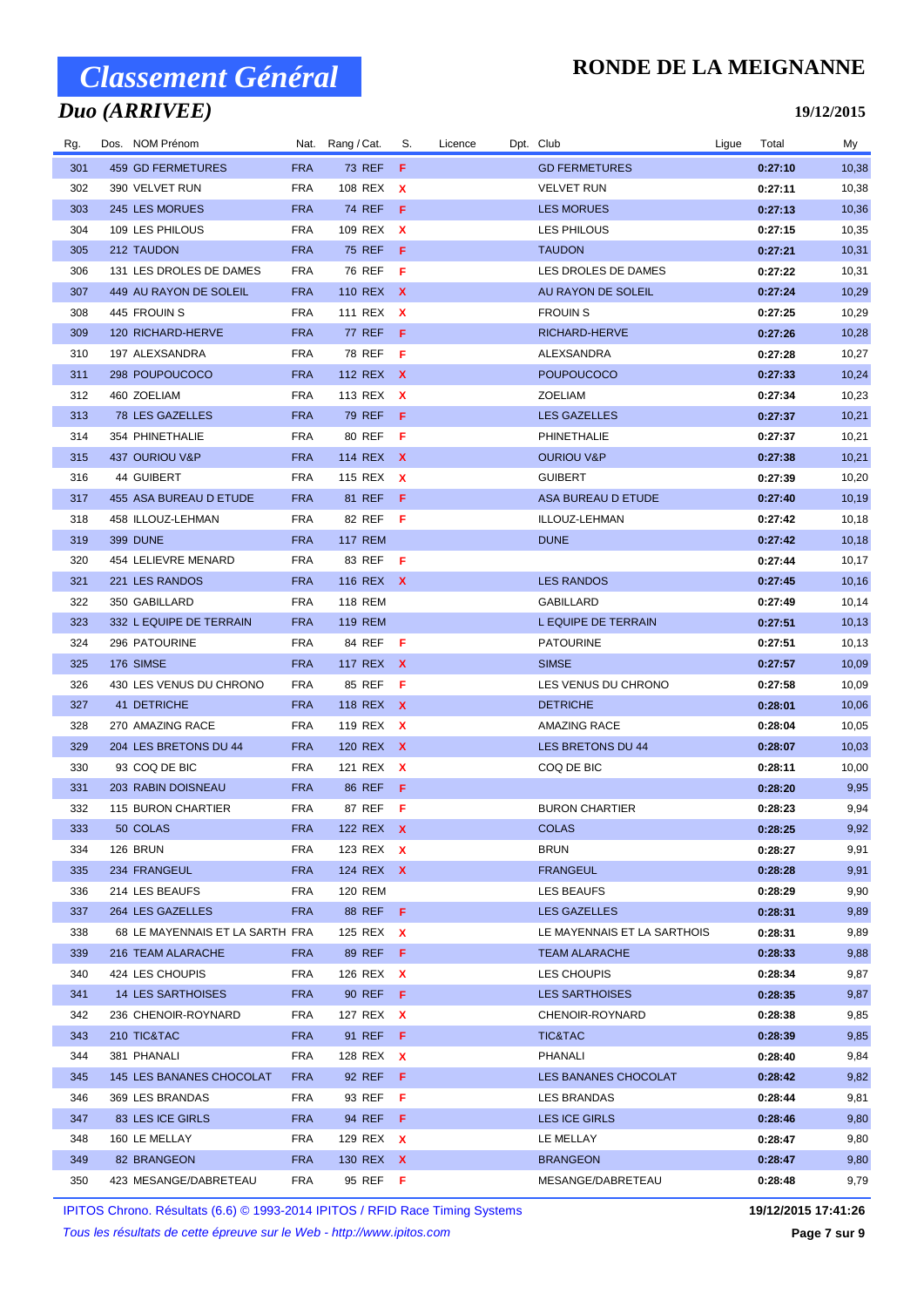## *Duo (ARRIVEE)*

### **RONDE DE LA MEIGNANNE**

#### **19/12/2015**

| Rg. | Dos. NOM Prénom                 |            | Nat. Rang/Cat.  | S.  | Licence | Dpt. Club                   | Ligue | Total   | My     |
|-----|---------------------------------|------------|-----------------|-----|---------|-----------------------------|-------|---------|--------|
| 301 | 459 GD FERMETURES               | <b>FRA</b> | <b>73 REF</b>   | F   |         | <b>GD FERMETURES</b>        |       | 0:27:10 | 10,38  |
| 302 | 390 VELVET RUN                  | <b>FRA</b> | 108 REX         | X   |         | <b>VELVET RUN</b>           |       | 0:27:11 | 10,38  |
| 303 | 245 LES MORUES                  | <b>FRA</b> | 74 REF          | - F |         | <b>LES MORUES</b>           |       | 0:27:13 | 10,36  |
| 304 | 109 LES PHILOUS                 | <b>FRA</b> | 109 REX X       |     |         | <b>LES PHILOUS</b>          |       | 0:27:15 | 10,35  |
| 305 | 212 TAUDON                      | <b>FRA</b> | 75 REF F        |     |         | <b>TAUDON</b>               |       | 0:27:21 | 10,31  |
| 306 | 131 LES DROLES DE DAMES         | <b>FRA</b> | 76 REF <b>F</b> |     |         | LES DROLES DE DAMES         |       | 0:27:22 | 10,31  |
| 307 | 449 AU RAYON DE SOLEIL          | <b>FRA</b> | 110 REX X       |     |         | AU RAYON DE SOLEIL          |       | 0:27:24 | 10,29  |
| 308 | 445 FROUIN S                    | <b>FRA</b> | 111 REX X       |     |         | <b>FROUIN S</b>             |       | 0:27:25 | 10,29  |
| 309 | 120 RICHARD-HERVE               | <b>FRA</b> | <b>77 REF</b>   | - F |         | RICHARD-HERVE               |       | 0:27:26 | 10,28  |
| 310 | 197 ALEXSANDRA                  | <b>FRA</b> | 78 REF <b>F</b> |     |         | ALEXSANDRA                  |       | 0:27:28 | 10,27  |
| 311 | 298 POUPOUCOCO                  | <b>FRA</b> | 112 REX X       |     |         | <b>POUPOUCOCO</b>           |       | 0:27:33 | 10,24  |
| 312 | 460 ZOELIAM                     | <b>FRA</b> | 113 REX X       |     |         | ZOELIAM                     |       | 0:27:34 | 10,23  |
| 313 | 78 LES GAZELLES                 | <b>FRA</b> | 79 REF          | - F |         | <b>LES GAZELLES</b>         |       | 0:27:37 | 10,21  |
| 314 | 354 PHINETHALIE                 | <b>FRA</b> | 80 REF <b>F</b> |     |         | PHINETHALIE                 |       | 0:27:37 | 10,21  |
| 315 | 437 OURIOU V&P                  | <b>FRA</b> | 114 REX X       |     |         | <b>OURIOU V&amp;P</b>       |       | 0:27:38 | 10,21  |
| 316 | 44 GUIBERT                      | <b>FRA</b> | 115 REX         | X   |         | <b>GUIBERT</b>              |       | 0:27:39 | 10,20  |
| 317 | 455 ASA BUREAU D ETUDE          | <b>FRA</b> | 81 REF          | -F  |         | ASA BUREAU D ETUDE          |       | 0:27:40 | 10,19  |
| 318 | 458 ILLOUZ-LEHMAN               | <b>FRA</b> | 82 REF          | -F  |         | ILLOUZ-LEHMAN               |       | 0:27:42 | 10,18  |
| 319 | <b>399 DUNE</b>                 | <b>FRA</b> | <b>117 REM</b>  |     |         | <b>DUNE</b>                 |       | 0:27:42 | 10,18  |
| 320 | 454 LELIEVRE MENARD             | <b>FRA</b> | 83 REF F        |     |         |                             |       | 0:27:44 | 10,17  |
| 321 | 221 LES RANDOS                  | <b>FRA</b> | 116 REX X       |     |         | <b>LES RANDOS</b>           |       | 0:27:45 | 10,16  |
| 322 | 350 GABILLARD                   | <b>FRA</b> | <b>118 REM</b>  |     |         | <b>GABILLARD</b>            |       | 0:27:49 | 10,14  |
| 323 | 332 L EQUIPE DE TERRAIN         | <b>FRA</b> | 119 REM         |     |         | L EQUIPE DE TERRAIN         |       | 0:27:51 | 10, 13 |
| 324 | 296 PATOURINE                   | <b>FRA</b> | 84 REF <b>F</b> |     |         | <b>PATOURINE</b>            |       | 0:27:51 | 10,13  |
| 325 | 176 SIMSE                       | <b>FRA</b> | 117 REX X       |     |         | <b>SIMSE</b>                |       | 0:27:57 | 10,09  |
| 326 | 430 LES VENUS DU CHRONO         | <b>FRA</b> | 85 REF          | -F  |         | LES VENUS DU CHRONO         |       | 0:27:58 | 10,09  |
| 327 | 41 DETRICHE                     | <b>FRA</b> | 118 REX X       |     |         | <b>DETRICHE</b>             |       | 0:28:01 | 10,06  |
| 328 | 270 AMAZING RACE                | <b>FRA</b> | 119 REX X       |     |         | <b>AMAZING RACE</b>         |       | 0:28:04 | 10,05  |
| 329 | 204 LES BRETONS DU 44           | <b>FRA</b> | 120 REX X       |     |         | LES BRETONS DU 44           |       | 0:28:07 | 10,03  |
| 330 | 93 COQ DE BIC                   | <b>FRA</b> | 121 REX X       |     |         | COQ DE BIC                  |       | 0:28:11 | 10,00  |
| 331 | 203 RABIN DOISNEAU              | <b>FRA</b> | 86 REF          | - F |         |                             |       | 0:28:20 | 9,95   |
| 332 | 115 BURON CHARTIER              | <b>FRA</b> | 87 REF          | - F |         | <b>BURON CHARTIER</b>       |       | 0:28:23 | 9,94   |
| 333 | 50 COLAS                        | <b>FRA</b> | 122 REX X       |     |         | <b>COLAS</b>                |       | 0:28:25 | 9,92   |
| 334 | 126 BRUN                        | <b>FRA</b> | 123 REX X       |     |         | <b>BRUN</b>                 |       | 0:28:27 | 9,91   |
| 335 | 234 FRANGEUL                    | <b>FRA</b> | 124 REX X       |     |         | <b>FRANGEUL</b>             |       | 0:28:28 | 9,91   |
| 336 | 214 LES BEAUFS                  | <b>FRA</b> | 120 REM         |     |         | <b>LES BEAUFS</b>           |       | 0:28:29 | 9,90   |
| 337 | 264 LES GAZELLES                | <b>FRA</b> | 88 REF F        |     |         | <b>LES GAZELLES</b>         |       | 0:28:31 | 9,89   |
| 338 | 68 LE MAYENNAIS ET LA SARTH FRA |            | 125 REX X       |     |         | LE MAYENNAIS ET LA SARTHOIS |       | 0:28:31 | 9,89   |
| 339 | 216 TEAM ALARACHE               | <b>FRA</b> | 89 REF <b>F</b> |     |         | <b>TEAM ALARACHE</b>        |       | 0:28:33 | 9,88   |
| 340 | 424 LES CHOUPIS                 | <b>FRA</b> | 126 REX X       |     |         | LES CHOUPIS                 |       | 0:28:34 | 9,87   |
| 341 | 14 LES SARTHOISES               | <b>FRA</b> | 90 REF <b>F</b> |     |         | <b>LES SARTHOISES</b>       |       | 0:28:35 | 9,87   |
| 342 | 236 CHENOIR-ROYNARD             | <b>FRA</b> | 127 REX X       |     |         | CHENOIR-ROYNARD             |       | 0:28:38 | 9,85   |
| 343 | 210 TIC&TAC                     | <b>FRA</b> | 91 REF F        |     |         | TIC&TAC                     |       | 0:28:39 | 9,85   |
| 344 | 381 PHANALI                     | <b>FRA</b> | 128 REX X       |     |         | PHANALI                     |       | 0:28:40 | 9,84   |
| 345 | 145 LES BANANES CHOCOLAT        | <b>FRA</b> | 92 REF <b>F</b> |     |         | LES BANANES CHOCOLAT        |       | 0:28:42 | 9,82   |
| 346 | 369 LES BRANDAS                 | <b>FRA</b> | 93 REF          | - F |         | LES BRANDAS                 |       | 0:28:44 | 9,81   |
| 347 | 83 LES ICE GIRLS                | <b>FRA</b> | 94 REF <b>F</b> |     |         | LES ICE GIRLS               |       | 0:28:46 | 9,80   |
| 348 | 160 LE MELLAY                   | <b>FRA</b> | 129 REX X       |     |         | LE MELLAY                   |       | 0:28:47 | 9,80   |
| 349 | 82 BRANGEON                     | <b>FRA</b> | 130 REX X       |     |         | <b>BRANGEON</b>             |       | 0:28:47 | 9,80   |
| 350 | 423 MESANGE/DABRETEAU           | <b>FRA</b> | 95 REF <b>F</b> |     |         | MESANGE/DABRETEAU           |       | 0:28:48 | 9,79   |

IPITOS Chrono. Résultats (6.6) © 1993-2014 IPITOS / RFID Race Timing Systems **19/12/2015 17:41:26**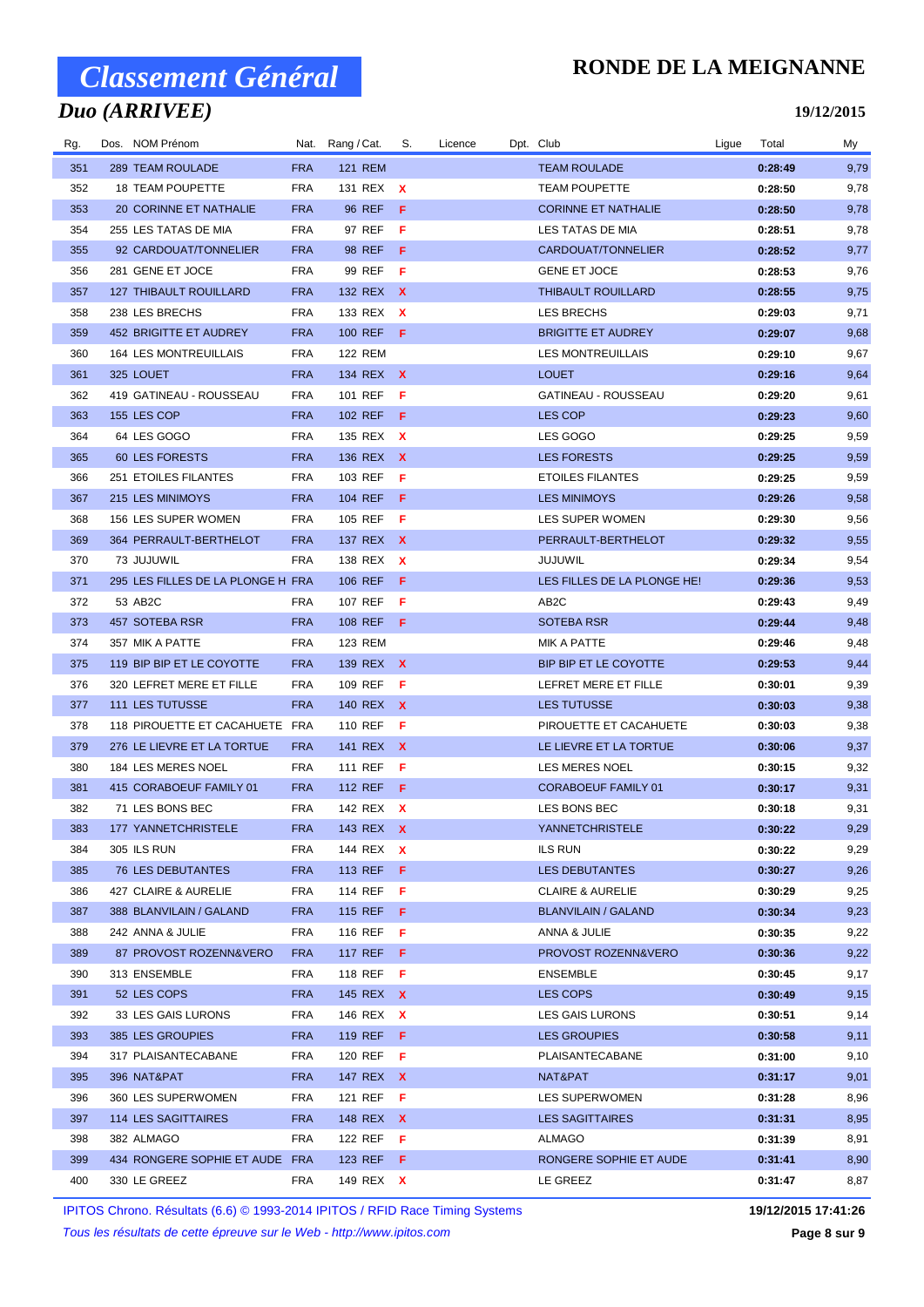## *Duo (ARRIVEE)*

### **RONDE DE LA MEIGNANNE**

#### **19/12/2015**

| Rg. | Dos. NOM Prénom                   | Nat.       | Rang / Cat.         | S.           | Licence | Dpt. Club                   | Ligue | Total   | My   |
|-----|-----------------------------------|------------|---------------------|--------------|---------|-----------------------------|-------|---------|------|
| 351 | 289 TEAM ROULADE                  | <b>FRA</b> | <b>121 REM</b>      |              |         | <b>TEAM ROULADE</b>         |       | 0:28:49 | 9,79 |
| 352 | <b>18 TEAM POUPETTE</b>           | FRA        | 131 REX X           |              |         | <b>TEAM POUPETTE</b>        |       | 0:28:50 | 9,78 |
| 353 | 20 CORINNE ET NATHALIE            | <b>FRA</b> | 96 REF              | - F          |         | <b>CORINNE ET NATHALIE</b>  |       | 0:28:50 | 9,78 |
| 354 | 255 LES TATAS DE MIA              | FRA        | 97 REF              | F            |         | LES TATAS DE MIA            |       | 0:28:51 | 9,78 |
| 355 | 92 CARDOUAT/TONNELIER             | <b>FRA</b> | 98 REF F            |              |         | CARDOUAT/TONNELIER          |       | 0:28:52 | 9,77 |
| 356 | 281 GENE ET JOCE                  | <b>FRA</b> | 99 REF <b>F</b>     |              |         | <b>GENE ET JOCE</b>         |       | 0:28:53 | 9,76 |
| 357 | <b>127 THIBAULT ROUILLARD</b>     | <b>FRA</b> | 132 REX X           |              |         | <b>THIBAULT ROUILLARD</b>   |       | 0:28:55 | 9,75 |
| 358 | 238 LES BRECHS                    | FRA        | 133 REX             | $\mathbf{x}$ |         | LES BRECHS                  |       | 0:29:03 | 9,71 |
| 359 | 452 BRIGITTE ET AUDREY            | <b>FRA</b> | 100 REF F           |              |         | <b>BRIGITTE ET AUDREY</b>   |       | 0:29:07 | 9,68 |
| 360 | 164 LES MONTREUILLAIS             | FRA        | <b>122 REM</b>      |              |         | <b>LES MONTREUILLAIS</b>    |       | 0:29:10 | 9,67 |
| 361 | 325 LOUET                         | <b>FRA</b> | 134 REX X           |              |         | <b>LOUET</b>                |       | 0:29:16 | 9,64 |
| 362 | 419 GATINEAU - ROUSSEAU           | FRA        | 101 REF             | -F           |         | GATINEAU - ROUSSEAU         |       | 0:29:20 | 9,61 |
| 363 | 155 LES COP                       | <b>FRA</b> | 102 REF             | - F          |         | LES COP                     |       | 0:29:23 | 9,60 |
| 364 | 64 LES GOGO                       | <b>FRA</b> | 135 REX X           |              |         | LES GOGO                    |       | 0:29:25 | 9,59 |
| 365 | 60 LES FORESTS                    | <b>FRA</b> | 136 REX X           |              |         | <b>LES FORESTS</b>          |       | 0:29:25 | 9,59 |
| 366 | 251 ETOILES FILANTES              | FRA        | 103 REF             | F            |         | <b>ETOILES FILANTES</b>     |       | 0:29:25 | 9,59 |
| 367 | 215 LES MINIMOYS                  | <b>FRA</b> | 104 REF             | -F.          |         | <b>LES MINIMOYS</b>         |       | 0:29:26 | 9,58 |
| 368 | 156 LES SUPER WOMEN               | FRA        | 105 REF             | - F          |         | LES SUPER WOMEN             |       | 0:29:30 | 9,56 |
| 369 | 364 PERRAULT-BERTHELOT            | <b>FRA</b> | 137 REX X           |              |         | PERRAULT-BERTHELOT          |       | 0:29:32 | 9,55 |
| 370 | 73 JUJUWIL                        | <b>FRA</b> | 138 REX             | X            |         | <b>JUJUWIL</b>              |       | 0:29:34 | 9,54 |
| 371 | 295 LES FILLES DE LA PLONGE H FRA |            | 106 REF             | - F          |         | LES FILLES DE LA PLONGE HE! |       | 0:29:36 | 9,53 |
| 372 | 53 AB2C                           | <b>FRA</b> | 107 REF             | -F           |         | AB <sub>2</sub> C           |       | 0:29:43 | 9,49 |
| 373 | 457 SOTEBA RSR                    | <b>FRA</b> | 108 REF F           |              |         | <b>SOTEBA RSR</b>           |       | 0:29:44 | 9,48 |
| 374 | 357 MIK A PATTE                   | FRA        | 123 REM             |              |         | <b>MIK A PATTE</b>          |       | 0:29:46 | 9,48 |
| 375 | 119 BIP BIP ET LE COYOTTE         | <b>FRA</b> | 139 REX X           |              |         | BIP BIP ET LE COYOTTE       |       | 0:29:53 | 9,44 |
| 376 | 320 LEFRET MERE ET FILLE          | FRA        | 109 REF             | - F          |         | LEFRET MERE ET FILLE        |       | 0:30:01 | 9,39 |
| 377 | 111 LES TUTUSSE                   | <b>FRA</b> | 140 REX X           |              |         | <b>LES TUTUSSE</b>          |       | 0:30:03 | 9,38 |
| 378 | 118 PIROUETTE ET CACAHUETE FRA    |            | 110 REF <b>F</b>    |              |         | PIROUETTE ET CACAHUETE      |       | 0:30:03 | 9,38 |
| 379 | 276 LE LIEVRE ET LA TORTUE        | <b>FRA</b> | 141 REX X           |              |         | LE LIEVRE ET LA TORTUE      |       | 0:30:06 | 9,37 |
| 380 | 184 LES MERES NOEL                | FRA        | 111 REF             | - F          |         | <b>LES MERES NOEL</b>       |       | 0:30:15 | 9,32 |
| 381 | 415 CORABOEUF FAMILY 01           | <b>FRA</b> | 112 REF F           |              |         | <b>CORABOEUF FAMILY 01</b>  |       | 0:30:17 | 9,31 |
| 382 | 71 LES BONS BEC                   | FRA        | 142 REX X           |              |         | LES BONS BEC                |       | 0:30:18 | 9,31 |
| 383 | 177 YANNETCHRISTELE               | <b>FRA</b> | 143 REX X           |              |         | YANNETCHRISTELE             |       | 0:30:22 | 9,29 |
| 384 | 305 ILS RUN                       | FRA        | 144 REX <b>X</b>    |              |         | <b>ILS RUN</b>              |       | 0:30:22 | 9,29 |
| 385 | 76 LES DEBUTANTES                 | <b>FRA</b> | 113 REF <b>F</b>    |              |         | <b>LES DEBUTANTES</b>       |       | 0:30:27 | 9,26 |
| 386 | 427 CLAIRE & AURELIE              | FRA        | 114 REF $\mathsf F$ |              |         | <b>CLAIRE &amp; AURELIE</b> |       | 0:30:29 | 9,25 |
| 387 | 388 BLANVILAIN / GALAND           | <b>FRA</b> | 115 REF <b>F</b>    |              |         | <b>BLANVILAIN / GALAND</b>  |       | 0:30:34 | 9,23 |
| 388 | 242 ANNA & JULIE                  | <b>FRA</b> | 116 REF <b>F</b>    |              |         | ANNA & JULIE                |       | 0:30:35 | 9,22 |
| 389 | 87 PROVOST ROZENN&VERO            | <b>FRA</b> | 117 REF F           |              |         | PROVOST ROZENN&VERO         |       | 0:30:36 | 9,22 |
| 390 | 313 ENSEMBLE                      | FRA        | 118 REF <b>F</b>    |              |         | ENSEMBLE                    |       | 0:30:45 | 9,17 |
| 391 | 52 LES COPS                       | <b>FRA</b> | 145 REX X           |              |         | LES COPS                    |       | 0:30:49 | 9,15 |
| 392 | 33 LES GAIS LURONS                | FRA        | 146 REX X           |              |         | LES GAIS LURONS             |       | 0:30:51 | 9,14 |
| 393 | 385 LES GROUPIES                  | <b>FRA</b> | 119 REF <b>F</b>    |              |         | <b>LES GROUPIES</b>         |       | 0:30:58 | 9,11 |
| 394 | 317 PLAISANTECABANE               | FRA        | 120 REF $\mathsf F$ |              |         | PLAISANTECABANE             |       | 0:31:00 | 9,10 |
| 395 | 396 NAT&PAT                       | <b>FRA</b> | 147 REX X           |              |         | NAT&PAT                     |       | 0:31:17 | 9,01 |
| 396 | 360 LES SUPERWOMEN                | FRA        | 121 REF <b>F</b>    |              |         | LES SUPERWOMEN              |       | 0:31:28 | 8,96 |
| 397 | 114 LES SAGITTAIRES               | <b>FRA</b> | 148 REX X           |              |         | <b>LES SAGITTAIRES</b>      |       | 0:31:31 | 8,95 |
| 398 | 382 ALMAGO                        | FRA        | 122 REF $\mathsf F$ |              |         | ALMAGO                      |       | 0:31:39 | 8,91 |
| 399 | 434 RONGERE SOPHIE ET AUDE FRA    |            | 123 REF <b>F</b>    |              |         | RONGERE SOPHIE ET AUDE      |       | 0:31:41 | 8,90 |
| 400 | 330 LE GREEZ                      | FRA        | 149 REX X           |              |         | LE GREEZ                    |       | 0:31:47 | 8,87 |

IPITOS Chrono. Résultats (6.6) © 1993-2014 IPITOS / RFID Race Timing Systems **19/12/2015 17:41:26**